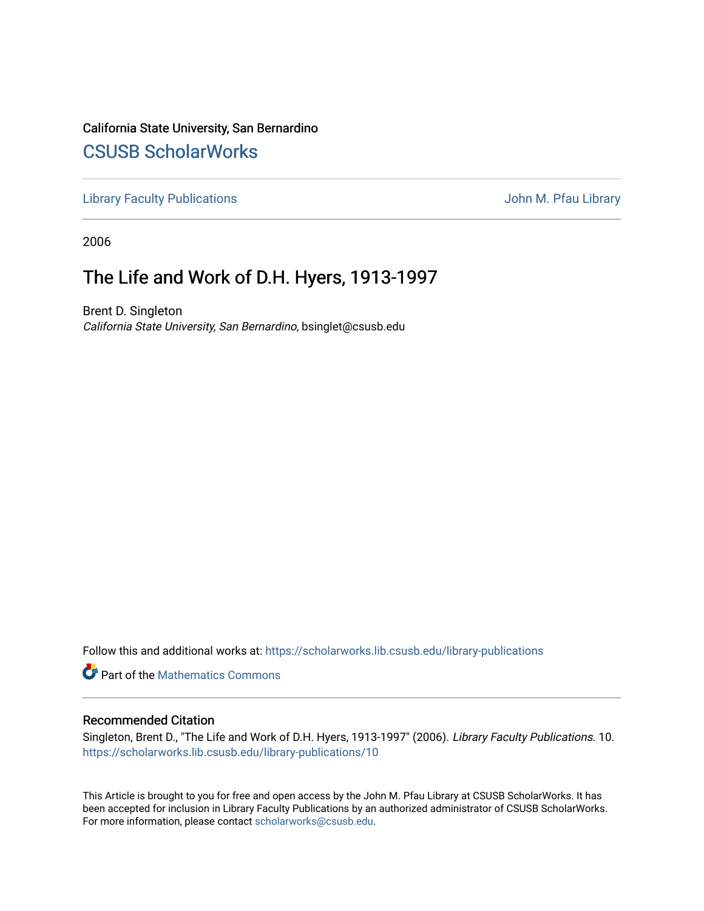# California State University, San Bernardino [CSUSB ScholarWorks](https://scholarworks.lib.csusb.edu/)

[Library Faculty Publications](https://scholarworks.lib.csusb.edu/library-publications) **Accord 19 and 20 and 20 and 20 and 20 and 20 and 20 and 20 and 20 and 20 and 20 and 20 and 20 and 20 and 20 and 20 and 20 and 20 and 20 and 20 and 20 and 20 and 20 and 20 and 20 and 20 and 20** 

2006

# The Life and Work of D.H. Hyers, 1913-1997

Brent D. Singleton California State University, San Bernardino, bsinglet@csusb.edu

Follow this and additional works at: [https://scholarworks.lib.csusb.edu/library-publications](https://scholarworks.lib.csusb.edu/library-publications?utm_source=scholarworks.lib.csusb.edu%2Flibrary-publications%2F10&utm_medium=PDF&utm_campaign=PDFCoverPages) 

**Part of the [Mathematics Commons](http://network.bepress.com/hgg/discipline/174?utm_source=scholarworks.lib.csusb.edu%2Flibrary-publications%2F10&utm_medium=PDF&utm_campaign=PDFCoverPages)** 

## Recommended Citation

Singleton, Brent D., "The Life and Work of D.H. Hyers, 1913-1997" (2006). Library Faculty Publications. 10. [https://scholarworks.lib.csusb.edu/library-publications/10](https://scholarworks.lib.csusb.edu/library-publications/10?utm_source=scholarworks.lib.csusb.edu%2Flibrary-publications%2F10&utm_medium=PDF&utm_campaign=PDFCoverPages)

This Article is brought to you for free and open access by the John M. Pfau Library at CSUSB ScholarWorks. It has been accepted for inclusion in Library Faculty Publications by an authorized administrator of CSUSB ScholarWorks. For more information, please contact [scholarworks@csusb.edu.](mailto:scholarworks@csusb.edu)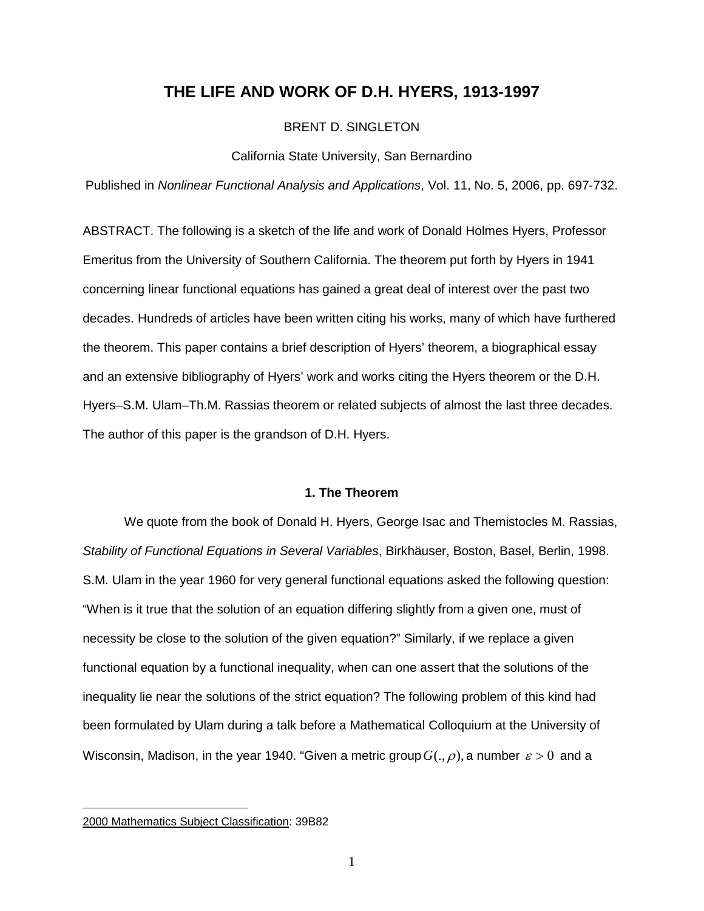# **THE LIFE AND WORK OF D.H. HYERS, 1913-1997**

## BRENT D. SINGLETON

#### California State University, San Bernardino

Published in *Nonlinear Functional Analysis and Applications*, Vol. 11, No. 5, 2006, pp. 697-732.

ABSTRACT. The following is a sketch of the life and work of Donald Holmes Hyers, Professor Emeritus from the University of Southern California. The theorem put forth by Hyers in 1941 concerning linear functional equations has gained a great deal of interest over the past two decades. Hundreds of articles have been written citing his works, many of which have furthered the theorem. This paper contains a brief description of Hyers' theorem, a biographical essay and an extensive bibliography of Hyers' work and works citing the Hyers theorem or the D.H. Hyers–S.M. Ulam–Th.M. Rassias theorem or related subjects of almost the last three decades. The author of this paper is the grandson of D.H. Hyers.

#### **1. The Theorem**

We quote from the book of Donald H. Hyers, George Isac and Themistocles M. Rassias, *Stability of Functional Equations in Several Variables*, Birkhäuser, Boston, Basel, Berlin, 1998. S.M. Ulam in the year 1960 for very general functional equations asked the following question: "When is it true that the solution of an equation differing slightly from a given one, must of necessity be close to the solution of the given equation?" Similarly, if we replace a given functional equation by a functional inequality, when can one assert that the solutions of the inequality lie near the solutions of the strict equation? The following problem of this kind had been formulated by Ulam during a talk before a Mathematical Colloquium at the University of Wisconsin, Madison, in the year 1940. "Given a metric group  $G(.,\rho)$ , a number  $\varepsilon > 0$  and a

<span id="page-1-0"></span><sup>2000</sup> Mathematics Subject Classification: 39B82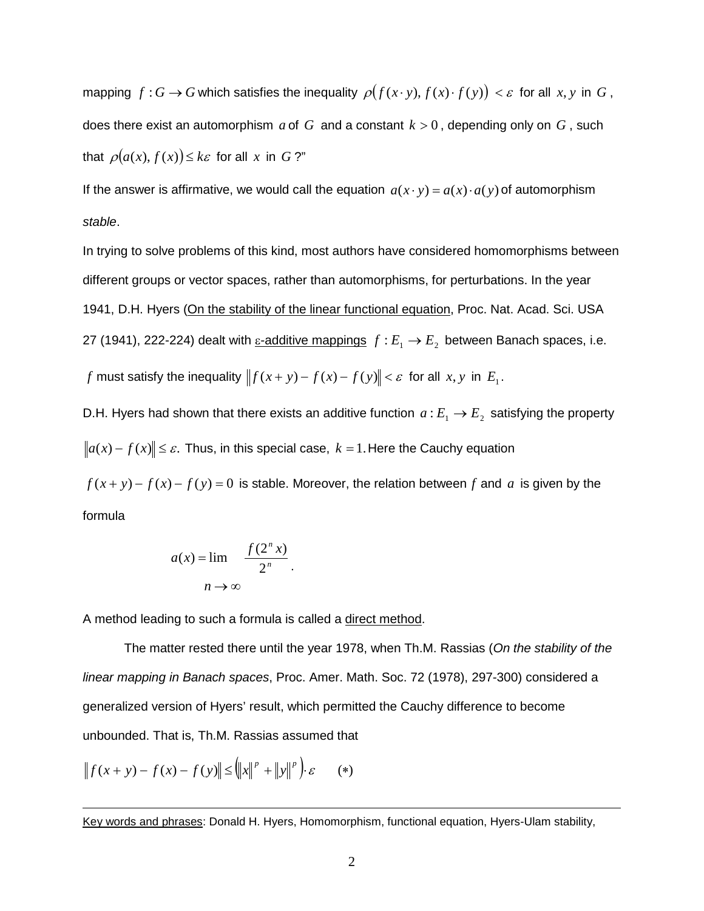mapping  $f: G \to G$  which satisfies the inequality  $\rho(f(x \cdot y), f(x) \cdot f(y)) < \varepsilon$  for all  $x, y$  in  $G$ , does there exist an automorphism  $a$  of  $G$  and a constant  $k > 0$ , depending only on  $G$ , such that  $\rho(a(x), f(x)) \leq k\varepsilon$  for all *x* in *G* ?"

If the answer is affirmative, we would call the equation  $a(x \cdot y) = a(x) \cdot a(y)$  of automorphism *stable*.

In trying to solve problems of this kind, most authors have considered homomorphisms between different groups or vector spaces, rather than automorphisms, for perturbations. In the year 1941, D.H. Hyers (On the stability of the linear functional equation, Proc. Nat. Acad. Sci. USA 27 (1941), 222-224) dealt with  $\underline{\varepsilon}$ -additive mappings  $f : E_1 \to E_2$  between Banach spaces, i.e. *f* must satisfy the inequality  $|| f(x + y) - f(x) - f(y)|| < \varepsilon$  for all *x*, *y* in *E*<sub>1</sub>.

D.H. Hyers had shown that there exists an additive function  $a : E_1 \rightarrow E_2$  satisfying the property  $\|a(x) - f(x)\| \leq \varepsilon$ . Thus, in this special case,  $k = 1$ . Here the Cauchy equation

 $f(x + y) - f(x) - f(y) = 0$  is stable. Moreover, the relation between *f* and *a* is given by the formula

$$
a(x) = \lim_{n \to \infty} \frac{f(2^n x)}{2^n}.
$$

A method leading to such a formula is called a direct method.

The matter rested there until the year 1978, when Th.M. Rassias (*On the stability of the linear mapping in Banach spaces*, Proc. Amer. Math. Soc. 72 (1978), 297-300) considered a generalized version of Hyers' result, which permitted the Cauchy difference to become unbounded. That is, Th.M. Rassias assumed that

$$
||f(x + y) - f(x) - f(y)|| \le ||x||^p + ||y||^p \cdot \varepsilon
$$
 (\*)

Key words and phrases: Donald H. Hyers, Homomorphism, functional equation, Hyers-Ulam stability,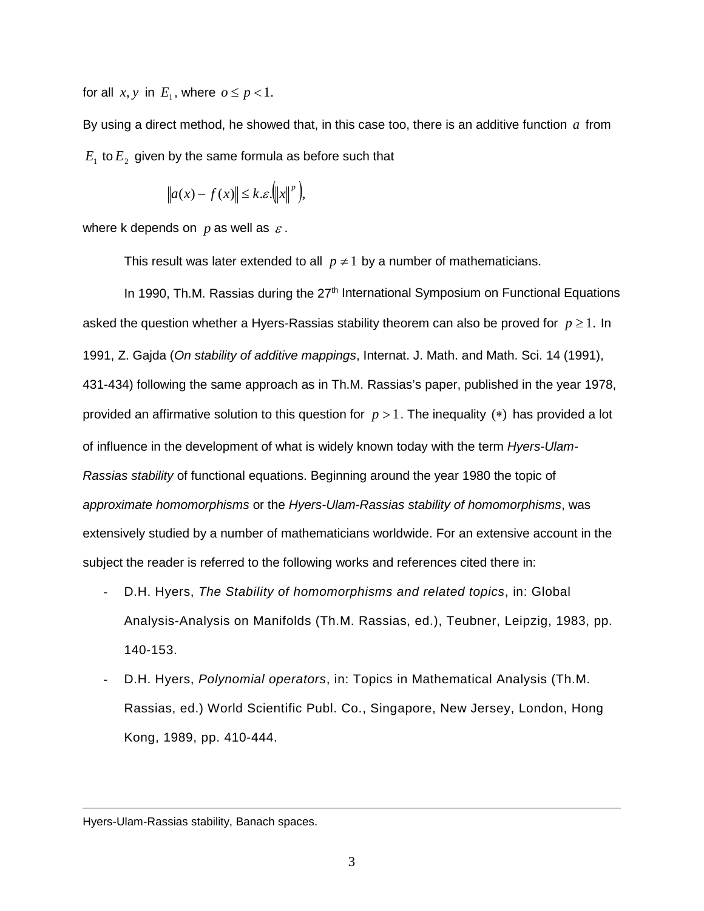for all  $x, y$  in  $E_1$ , where  $o \leq p < 1$ .

By using a direct method, he showed that, in this case too, there is an additive function *a* from  $E_1$  to  $E_2$  given by the same formula as before such that

$$
\|a(x) - f(x)\| \le k \, \mathcal{E}.\bigg(\|x\|^p\bigg),\,
$$

where k depends on  $p$  as well as  $\varepsilon$ .

This result was later extended to all  $p \neq 1$  by a number of mathematicians.

In 1990, Th.M. Rassias during the  $27<sup>th</sup>$  International Symposium on Functional Equations asked the question whether a Hyers-Rassias stability theorem can also be proved for  $p \ge 1$ . In 1991, Z. Gajda (*On stability of additive mappings*, Internat. J. Math. and Math. Sci. 14 (1991), 431-434) following the same approach as in Th.M. Rassias's paper, published in the year 1978, provided an affirmative solution to this question for *p* > 1. The inequality (∗) has provided a lot of influence in the development of what is widely known today with the term *Hyers-Ulam-Rassias stability* of functional equations. Beginning around the year 1980 the topic of *approximate homomorphisms* or the *Hyers-Ulam-Rassias stability of homomorphisms*, was extensively studied by a number of mathematicians worldwide. For an extensive account in the subject the reader is referred to the following works and references cited there in:

- D.H. Hyers, *The Stability of homomorphisms and related topics*, in: Global Analysis-Analysis on Manifolds (Th.M. Rassias, ed.), Teubner, Leipzig, 1983, pp. 140-153.
- D.H. Hyers, *Polynomial operators*, in: Topics in Mathematical Analysis (Th.M. Rassias, ed.) World Scientific Publ. Co., Singapore, New Jersey, London, Hong Kong, 1989, pp. 410-444.

Hyers-Ulam-Rassias stability, Banach spaces.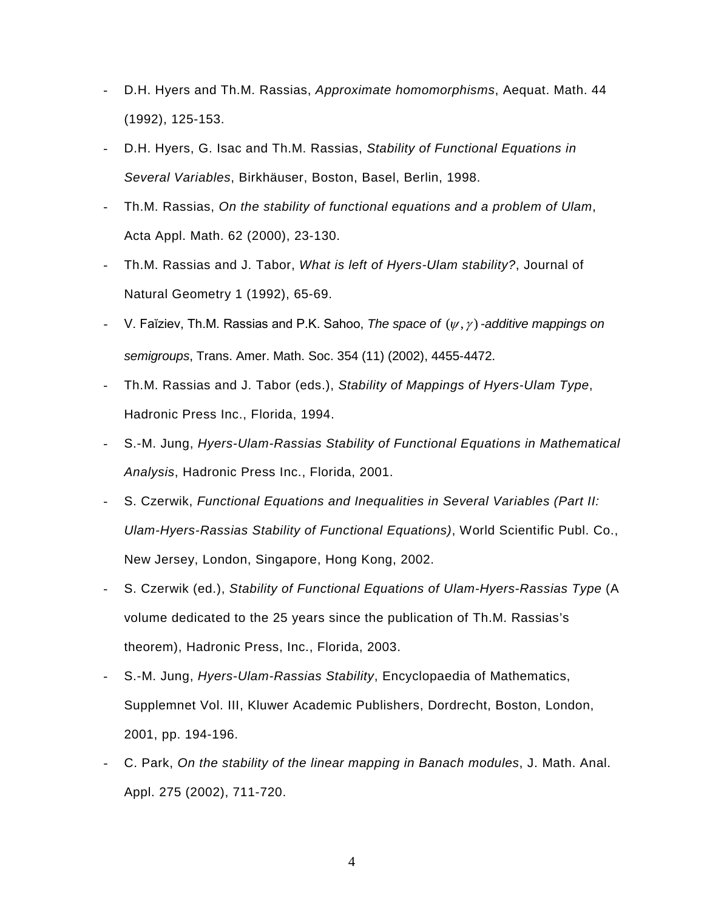- D.H. Hyers and Th.M. Rassias, *Approximate homomorphisms*, Aequat. Math. 44 (1992), 125-153.
- D.H. Hyers, G. Isac and Th.M. Rassias, *Stability of Functional Equations in Several Variables*, Birkhäuser, Boston, Basel, Berlin, 1998.
- Th.M. Rassias, *On the stability of functional equations and a problem of Ulam*, Acta Appl. Math. 62 (2000), 23-130.
- Th.M. Rassias and J. Tabor, *What is left of Hyers-Ulam stability?*, Journal of Natural Geometry 1 (1992), 65-69.
- V. Faĭziev, Th.M. Rassias and P.K. Sahoo, *The space of* (<sup>ψ</sup> , <sup>γ</sup> ) *-additive mappings on semigroups*, Trans. Amer. Math. Soc. 354 (11) (2002), 4455-4472.
- Th.M. Rassias and J. Tabor (eds.), *Stability of Mappings of Hyers-Ulam Type*, Hadronic Press Inc., Florida, 1994.
- S.-M. Jung, *Hyers-Ulam-Rassias Stability of Functional Equations in Mathematical Analysis*, Hadronic Press Inc., Florida, 2001.
- S. Czerwik, *Functional Equations and Inequalities in Several Variables (Part II: Ulam-Hyers-Rassias Stability of Functional Equations)*, World Scientific Publ. Co., New Jersey, London, Singapore, Hong Kong, 2002.
- S. Czerwik (ed.), *Stability of Functional Equations of Ulam-Hyers-Rassias Type* (A volume dedicated to the 25 years since the publication of Th.M. Rassias's theorem), Hadronic Press, Inc., Florida, 2003.
- S.-M. Jung, *Hyers-Ulam-Rassias Stability*, Encyclopaedia of Mathematics, Supplemnet Vol. III, Kluwer Academic Publishers, Dordrecht, Boston, London, 2001, pp. 194-196.
- C. Park, *On the stability of the linear mapping in Banach modules*, J. Math. Anal. Appl. 275 (2002), 711-720.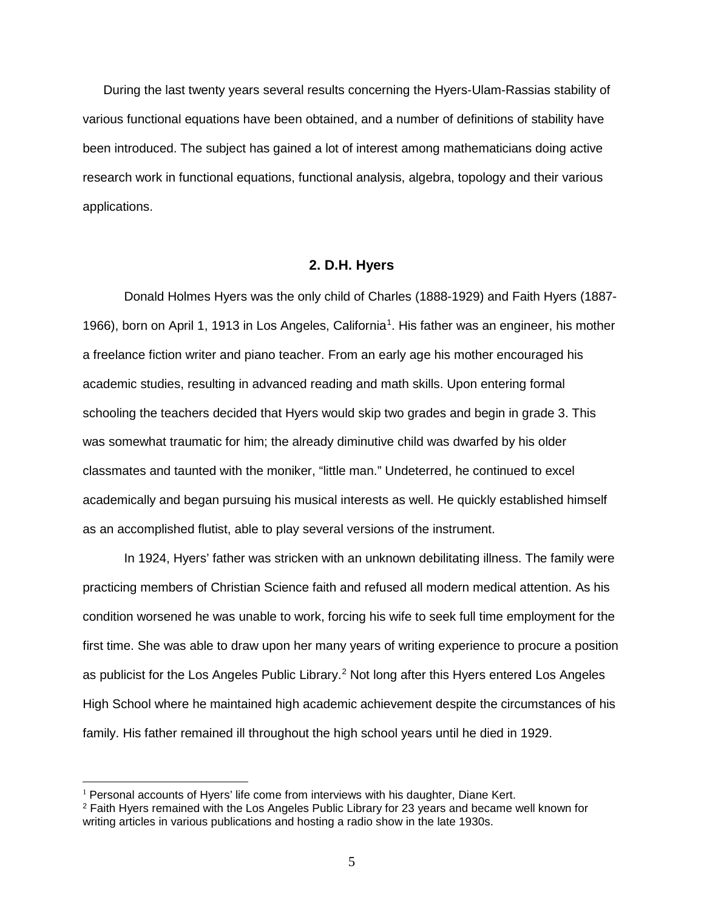During the last twenty years several results concerning the Hyers-Ulam-Rassias stability of various functional equations have been obtained, and a number of definitions of stability have been introduced. The subject has gained a lot of interest among mathematicians doing active research work in functional equations, functional analysis, algebra, topology and their various applications.

### **2. D.H. Hyers**

Donald Holmes Hyers was the only child of Charles (1888-1929) and Faith Hyers (1887- [1](#page-5-0)966), born on April 1, 1913 in Los Angeles, California<sup>1</sup>. His father was an engineer, his mother a freelance fiction writer and piano teacher. From an early age his mother encouraged his academic studies, resulting in advanced reading and math skills. Upon entering formal schooling the teachers decided that Hyers would skip two grades and begin in grade 3. This was somewhat traumatic for him; the already diminutive child was dwarfed by his older classmates and taunted with the moniker, "little man." Undeterred, he continued to excel academically and began pursuing his musical interests as well. He quickly established himself as an accomplished flutist, able to play several versions of the instrument.

In 1924, Hyers' father was stricken with an unknown debilitating illness. The family were practicing members of Christian Science faith and refused all modern medical attention. As his condition worsened he was unable to work, forcing his wife to seek full time employment for the first time. She was able to draw upon her many years of writing experience to procure a position as publicist for the Los Angeles Public Library.<sup>[2](#page-5-1)</sup> Not long after this Hyers entered Los Angeles High School where he maintained high academic achievement despite the circumstances of his family. His father remained ill throughout the high school years until he died in 1929.

<span id="page-5-0"></span><sup>&</sup>lt;sup>1</sup> Personal accounts of Hyers' life come from interviews with his daughter, Diane Kert.

<span id="page-5-1"></span><sup>2</sup> Faith Hyers remained with the Los Angeles Public Library for 23 years and became well known for writing articles in various publications and hosting a radio show in the late 1930s.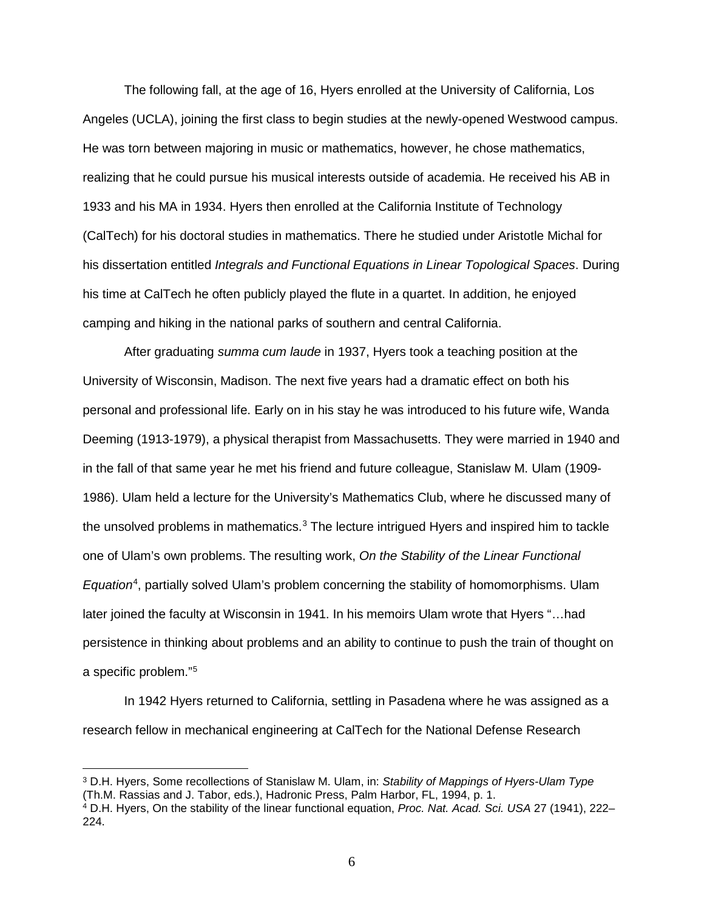The following fall, at the age of 16, Hyers enrolled at the University of California, Los Angeles (UCLA), joining the first class to begin studies at the newly-opened Westwood campus. He was torn between majoring in music or mathematics, however, he chose mathematics, realizing that he could pursue his musical interests outside of academia. He received his AB in 1933 and his MA in 1934. Hyers then enrolled at the California Institute of Technology (CalTech) for his doctoral studies in mathematics. There he studied under Aristotle Michal for his dissertation entitled *Integrals and Functional Equations in Linear Topological Spaces*. During his time at CalTech he often publicly played the flute in a quartet. In addition, he enjoyed camping and hiking in the national parks of southern and central California.

After graduating *summa cum laude* in 1937, Hyers took a teaching position at the University of Wisconsin, Madison. The next five years had a dramatic effect on both his personal and professional life. Early on in his stay he was introduced to his future wife, Wanda Deeming (1913-1979), a physical therapist from Massachusetts. They were married in 1940 and in the fall of that same year he met his friend and future colleague, Stanislaw M. Ulam (1909- 1986). Ulam held a lecture for the University's Mathematics Club, where he discussed many of the unsolved problems in mathematics. $3$  The lecture intrigued Hyers and inspired him to tackle one of Ulam's own problems. The resulting work, *On the Stability of the Linear Functional*  Equation<sup>[4](#page-6-1)</sup>, partially solved Ulam's problem concerning the stability of homomorphisms. Ulam later joined the faculty at Wisconsin in 1941. In his memoirs Ulam wrote that Hyers "…had persistence in thinking about problems and an ability to continue to push the train of thought on a specific problem."[5](#page-6-2)

In 1942 Hyers returned to California, settling in Pasadena where he was assigned as a research fellow in mechanical engineering at CalTech for the National Defense Research

<span id="page-6-2"></span><span id="page-6-0"></span><sup>3</sup> D.H. Hyers, Some recollections of Stanislaw M. Ulam, in: *Stability of Mappings of Hyers-Ulam Type* (Th.M. Rassias and J. Tabor, eds.), Hadronic Press, Palm Harbor, FL, 1994, p. 1.

<span id="page-6-1"></span><sup>4</sup> D.H. Hyers, On the stability of the linear functional equation, *Proc. Nat. Acad. Sci. USA* 27 (1941), 222– 224.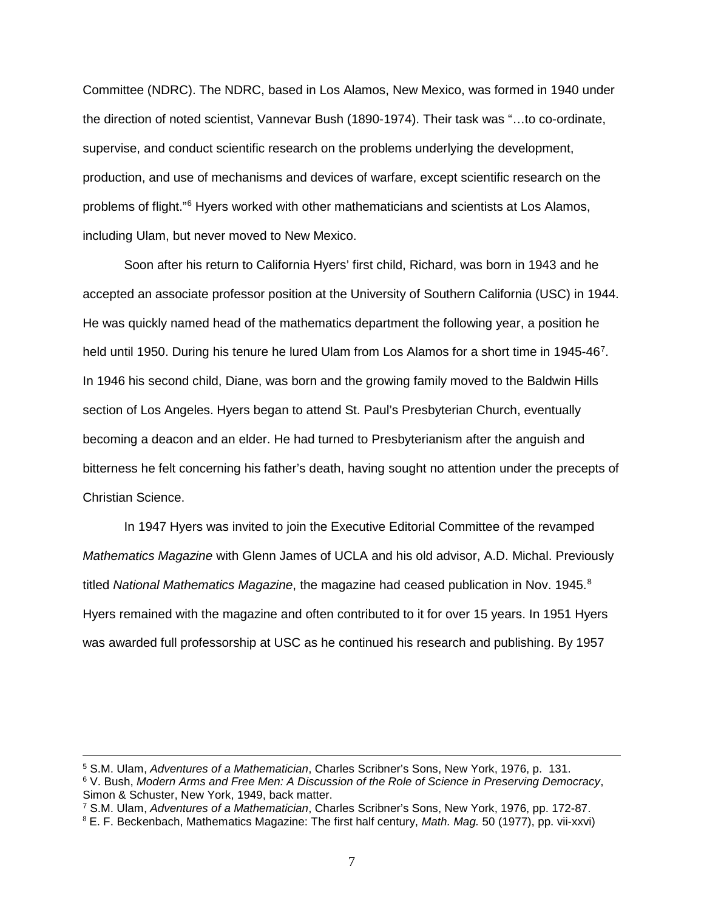Committee (NDRC). The NDRC, based in Los Alamos, New Mexico, was formed in 1940 under the direction of noted scientist, Vannevar Bush (1890-1974). Their task was "…to co-ordinate, supervise, and conduct scientific research on the problems underlying the development, production, and use of mechanisms and devices of warfare, except scientific research on the problems of flight."[6](#page-7-0) Hyers worked with other mathematicians and scientists at Los Alamos, including Ulam, but never moved to New Mexico.

Soon after his return to California Hyers' first child, Richard, was born in 1943 and he accepted an associate professor position at the University of Southern California (USC) in 1944. He was quickly named head of the mathematics department the following year, a position he held until 1950. During his tenure he lured Ulam from Los Alamos for a short time in 1945-46<sup>[7](#page-7-1)</sup>. In 1946 his second child, Diane, was born and the growing family moved to the Baldwin Hills section of Los Angeles. Hyers began to attend St. Paul's Presbyterian Church, eventually becoming a deacon and an elder. He had turned to Presbyterianism after the anguish and bitterness he felt concerning his father's death, having sought no attention under the precepts of Christian Science.

In 1947 Hyers was invited to join the Executive Editorial Committee of the revamped *Mathematics Magazine* with Glenn James of UCLA and his old advisor, A.D. Michal. Previously titled *National Mathematics Magazine*, the magazine had ceased publication in Nov. 1945.<sup>[8](#page-7-2)</sup> Hyers remained with the magazine and often contributed to it for over 15 years. In 1951 Hyers was awarded full professorship at USC as he continued his research and publishing. By 1957

<span id="page-7-0"></span><sup>5</sup> S.M. Ulam, *Adventures of a Mathematician*, Charles Scribner's Sons, New York, 1976, p. 131. <sup>6</sup> V. Bush, *Modern Arms and Free Men: A Discussion of the Role of Science in Preserving Democracy*, Simon & Schuster, New York, 1949, back matter.

 $\overline{a}$ 

<span id="page-7-1"></span><sup>7</sup> S.M. Ulam, *Adventures of a Mathematician*, Charles Scribner's Sons, New York, 1976, pp. 172-87.

<span id="page-7-2"></span><sup>8</sup> E. F. Beckenbach, Mathematics Magazine: The first half century, *Math. Mag.* 50 (1977), pp. vii-xxvi)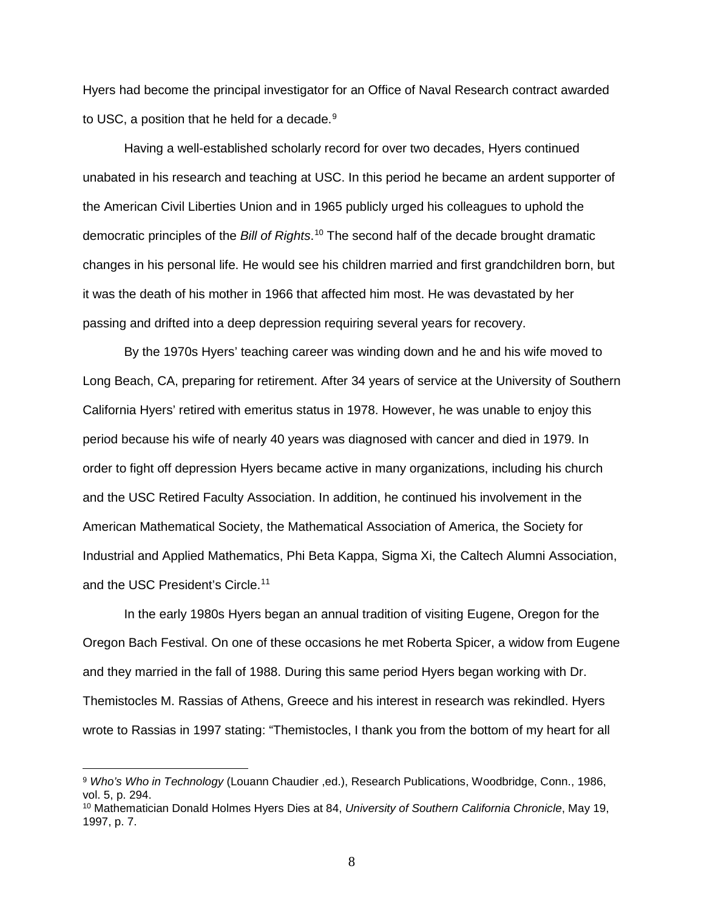Hyers had become the principal investigator for an Office of Naval Research contract awarded to USC, a position that he held for a decade. $9$ 

Having a well-established scholarly record for over two decades, Hyers continued unabated in his research and teaching at USC. In this period he became an ardent supporter of the American Civil Liberties Union and in 1965 publicly urged his colleagues to uphold the democratic principles of the *Bill of Rights*. [10](#page-8-1) The second half of the decade brought dramatic changes in his personal life. He would see his children married and first grandchildren born, but it was the death of his mother in 1966 that affected him most. He was devastated by her passing and drifted into a deep depression requiring several years for recovery.

By the 1970s Hyers' teaching career was winding down and he and his wife moved to Long Beach, CA, preparing for retirement. After 34 years of service at the University of Southern California Hyers' retired with emeritus status in 1978. However, he was unable to enjoy this period because his wife of nearly 40 years was diagnosed with cancer and died in 1979. In order to fight off depression Hyers became active in many organizations, including his church and the USC Retired Faculty Association. In addition, he continued his involvement in the American Mathematical Society, the Mathematical Association of America, the Society for Industrial and Applied Mathematics, Phi Beta Kappa, Sigma Xi, the Caltech Alumni Association, and the USC President's Circle.<sup>[11](#page-8-2)</sup>

In the early 1980s Hyers began an annual tradition of visiting Eugene, Oregon for the Oregon Bach Festival. On one of these occasions he met Roberta Spicer, a widow from Eugene and they married in the fall of 1988. During this same period Hyers began working with Dr. Themistocles M. Rassias of Athens, Greece and his interest in research was rekindled. Hyers wrote to Rassias in 1997 stating: "Themistocles, I thank you from the bottom of my heart for all

<span id="page-8-0"></span><sup>9</sup> *Who's Who in Technology* (Louann Chaudier ,ed.), Research Publications, Woodbridge, Conn., 1986, vol. 5, p. 294.

<span id="page-8-2"></span><span id="page-8-1"></span><sup>10</sup> Mathematician Donald Holmes Hyers Dies at 84, *University of Southern California Chronicle*, May 19, 1997, p. 7.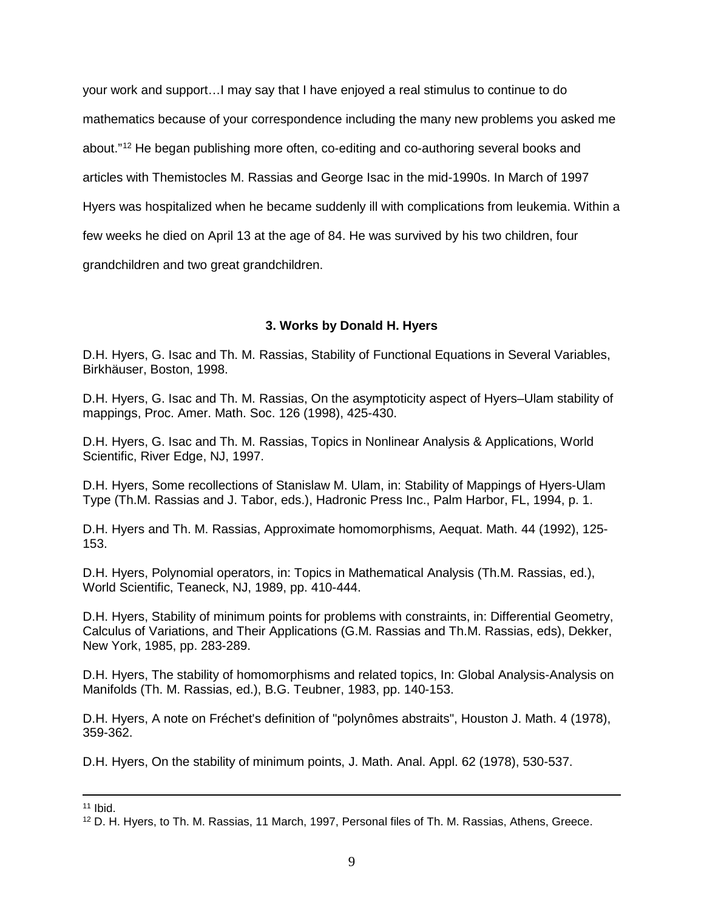your work and support…I may say that I have enjoyed a real stimulus to continue to do mathematics because of your correspondence including the many new problems you asked me about."[12](#page-9-0) He began publishing more often, co-editing and co-authoring several books and articles with Themistocles M. Rassias and George Isac in the mid-1990s. In March of 1997 Hyers was hospitalized when he became suddenly ill with complications from leukemia. Within a few weeks he died on April 13 at the age of 84. He was survived by his two children, four grandchildren and two great grandchildren.

# **3. Works by Donald H. Hyers**

D.H. Hyers, G. Isac and Th. M. Rassias, Stability of Functional Equations in Several Variables, Birkhäuser, Boston, 1998.

D.H. Hyers, G. Isac and Th. M. Rassias, On the asymptoticity aspect of Hyers–Ulam stability of mappings, Proc. Amer. Math. Soc. 126 (1998), 425-430.

D.H. Hyers, G. Isac and Th. M. Rassias, Topics in Nonlinear Analysis & Applications, World Scientific, River Edge, NJ, 1997.

D.H. Hyers, Some recollections of Stanislaw M. Ulam, in: Stability of Mappings of Hyers-Ulam Type (Th.M. Rassias and J. Tabor, eds.), Hadronic Press Inc., Palm Harbor, FL, 1994, p. 1.

D.H. Hyers and Th. M. Rassias, Approximate homomorphisms, Aequat. Math. 44 (1992), 125- 153.

D.H. Hyers, Polynomial operators, in: Topics in Mathematical Analysis (Th.M. Rassias, ed.), World Scientific, Teaneck, NJ, 1989, pp. 410-444.

D.H. Hyers, Stability of minimum points for problems with constraints, in: Differential Geometry, Calculus of Variations, and Their Applications (G.M. Rassias and Th.M. Rassias, eds), Dekker, New York, 1985, pp. 283-289.

D.H. Hyers, The stability of homomorphisms and related topics, In: Global Analysis-Analysis on Manifolds (Th. M. Rassias, ed.), B.G. Teubner, 1983, pp. 140-153.

D.H. Hyers, A note on Fréchet's definition of "polynômes abstraits", Houston J. Math. 4 (1978), 359-362.

D.H. Hyers, On the stability of minimum points, J. Math. Anal. Appl. 62 (1978), 530-537.

 $11$  Ibid.

<span id="page-9-0"></span><sup>&</sup>lt;sup>12</sup> D. H. Hyers, to Th. M. Rassias, 11 March, 1997, Personal files of Th. M. Rassias, Athens, Greece.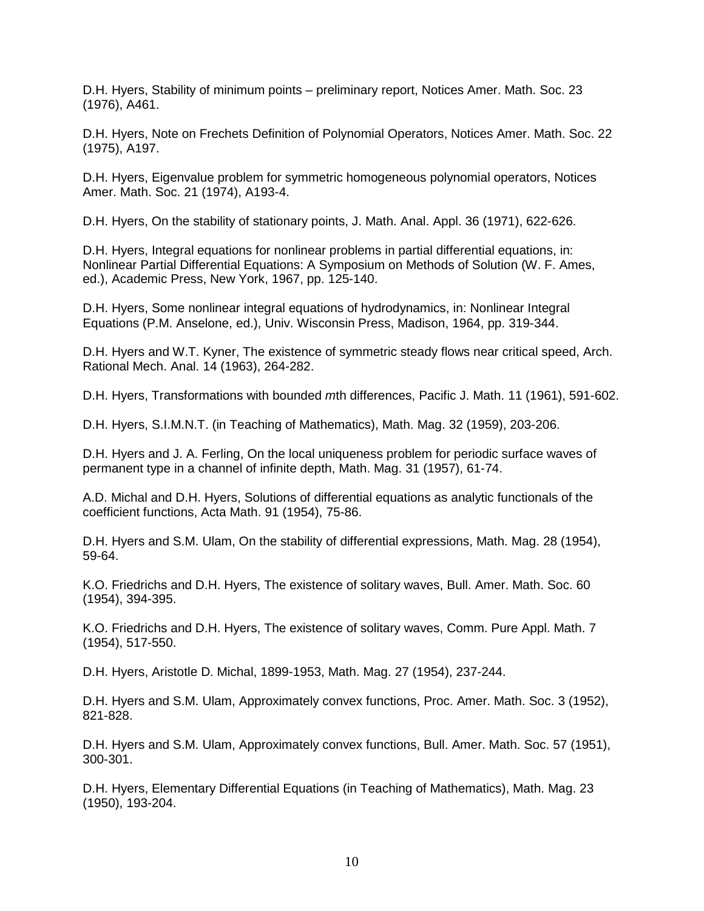D.H. Hyers, Stability of minimum points – preliminary report, Notices Amer. Math. Soc. 23 (1976), A461.

D.H. Hyers, Note on Frechets Definition of Polynomial Operators, Notices Amer. Math. Soc. 22 (1975), A197.

D.H. Hyers, Eigenvalue problem for symmetric homogeneous polynomial operators, Notices Amer. Math. Soc. 21 (1974), A193-4.

D.H. Hyers, On the stability of stationary points, J. Math. Anal. Appl. 36 (1971), 622-626.

D.H. Hyers, Integral equations for nonlinear problems in partial differential equations, in: Nonlinear Partial Differential Equations: A Symposium on Methods of Solution (W. F. Ames, ed.), Academic Press, New York, 1967, pp. 125-140.

D.H. Hyers, Some nonlinear integral equations of hydrodynamics, in: Nonlinear Integral Equations (P.M. Anselone, ed.), Univ. Wisconsin Press, Madison, 1964, pp. 319-344.

D.H. Hyers and W.T. Kyner, The existence of symmetric steady flows near critical speed, Arch. Rational Mech. Anal. 14 (1963), 264-282.

D.H. Hyers, Transformations with bounded *m*th differences, Pacific J. Math. 11 (1961), 591-602.

D.H. Hyers, S.I.M.N.T. (in Teaching of Mathematics), Math. Mag. 32 (1959), 203-206.

D.H. Hyers and J. A. Ferling, On the local uniqueness problem for periodic surface waves of permanent type in a channel of infinite depth, Math. Mag. 31 (1957), 61-74.

A.D. Michal and D.H. Hyers, Solutions of differential equations as analytic functionals of the coefficient functions, Acta Math. 91 (1954), 75-86.

D.H. Hyers and S.M. Ulam, On the stability of differential expressions, Math. Mag. 28 (1954), 59-64.

K.O. Friedrichs and D.H. Hyers, The existence of solitary waves, Bull. Amer. Math. Soc. 60 (1954), 394-395.

K.O. Friedrichs and D.H. Hyers, The existence of solitary waves, Comm. Pure Appl. Math. 7 (1954), 517-550.

D.H. Hyers, Aristotle D. Michal, 1899-1953, Math. Mag. 27 (1954), 237-244.

D.H. Hyers and S.M. Ulam, Approximately convex functions, Proc. Amer. Math. Soc. 3 (1952), 821-828.

D.H. Hyers and S.M. Ulam, Approximately convex functions, Bull. Amer. Math. Soc. 57 (1951), 300-301.

D.H. Hyers, Elementary Differential Equations (in Teaching of Mathematics), Math. Mag. 23 (1950), 193-204.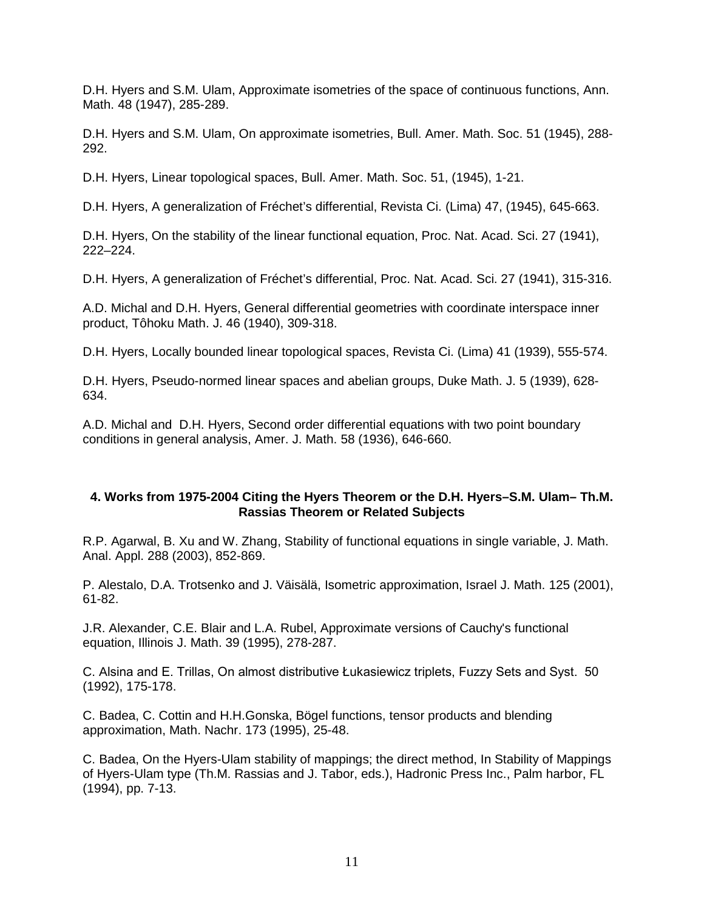D.H. Hyers and S.M. Ulam, Approximate isometries of the space of continuous functions, Ann. Math. 48 (1947), 285-289.

D.H. Hyers and S.M. Ulam, On approximate isometries, Bull. Amer. Math. Soc. 51 (1945), 288- 292.

D.H. Hyers, Linear topological spaces, Bull. Amer. Math. Soc. 51, (1945), 1-21.

D.H. Hyers, A generalization of Fréchet's differential, Revista Ci. (Lima) 47, (1945), 645-663.

D.H. Hyers, On the stability of the linear functional equation, Proc. Nat. Acad. Sci. 27 (1941), 222–224.

D.H. Hyers, A generalization of Fréchet's differential, Proc. Nat. Acad. Sci. 27 (1941), 315-316.

A.D. Michal and D.H. Hyers, General differential geometries with coordinate interspace inner product, Tôhoku Math. J. 46 (1940), 309-318.

D.H. Hyers, Locally bounded linear topological spaces, Revista Ci. (Lima) 41 (1939), 555-574.

D.H. Hyers, Pseudo-normed linear spaces and abelian groups, Duke Math. J. 5 (1939), 628- 634.

A.D. Michal and D.H. Hyers, Second order differential equations with two point boundary conditions in general analysis, Amer. J. Math. 58 (1936), 646-660.

## **4. Works from 1975-2004 Citing the Hyers Theorem or the D.H. Hyers–S.M. Ulam– Th.M. Rassias Theorem or Related Subjects**

R.P. Agarwal, B. Xu and W. Zhang, Stability of functional equations in single variable, J. Math. Anal. Appl. 288 (2003), 852-869.

P. Alestalo, D.A. Trotsenko and J. Väisälä, Isometric approximation, Israel J. Math. 125 (2001), 61-82.

J.R. Alexander, C.E. Blair and L.A. Rubel, Approximate versions of Cauchy's functional equation, Illinois J. Math. 39 (1995), 278-287.

C. Alsina and E. Trillas, On almost distributive Łukasiewicz triplets, Fuzzy Sets and Syst. 50 (1992), 175-178.

C. Badea, C. Cottin and H.H.Gonska, Bögel functions, tensor products and blending approximation, Math. Nachr. 173 (1995), 25-48.

C. Badea, On the Hyers-Ulam stability of mappings; the direct method, In Stability of Mappings of Hyers-Ulam type (Th.M. Rassias and J. Tabor, eds.), Hadronic Press Inc., Palm harbor, FL (1994), pp. 7-13.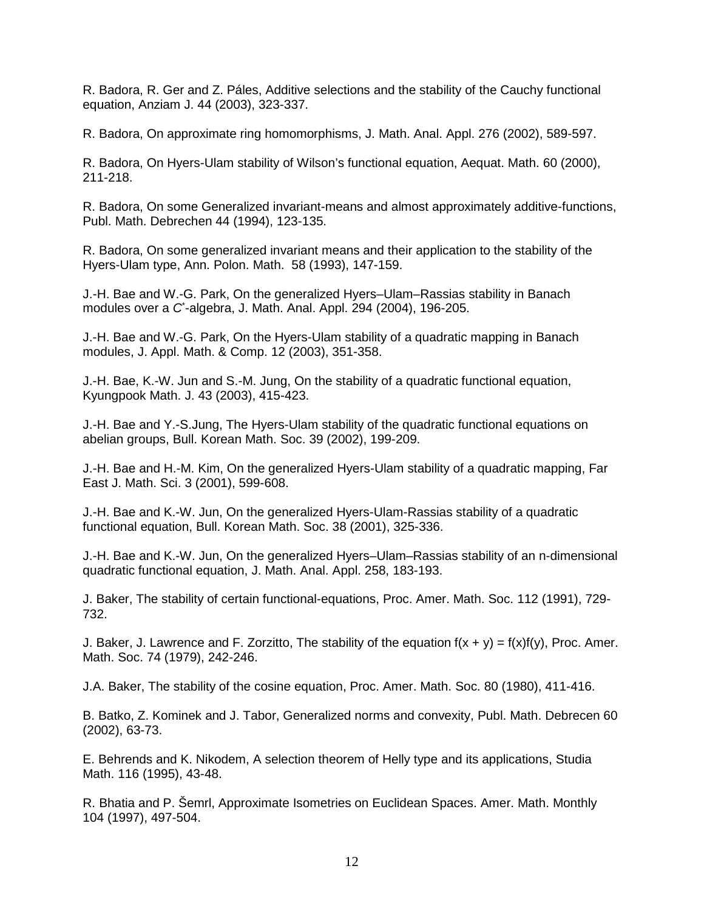R. Badora, R. Ger and Z. Páles, Additive selections and the stability of the Cauchy functional equation, Anziam J. 44 (2003), 323-337.

R. Badora, On approximate ring homomorphisms, J. Math. Anal. Appl. 276 (2002), 589-597.

R. Badora, On Hyers-Ulam stability of Wilson's functional equation, Aequat. Math. 60 (2000), 211-218.

R. Badora, On some Generalized invariant-means and almost approximately additive-functions, Publ. Math. Debrechen 44 (1994), 123-135.

R. Badora, On some generalized invariant means and their application to the stability of the Hyers-Ulam type, Ann. Polon. Math. 58 (1993), 147-159.

J.-H. Bae and W.-G. Park, On the generalized Hyers–Ulam–Rassias stability in Banach modules over a *C*\* -algebra, J. Math. Anal. Appl. 294 (2004), 196-205.

J.-H. Bae and W.-G. Park, On the Hyers-Ulam stability of a quadratic mapping in Banach modules, J. Appl. Math. & Comp. 12 (2003), 351-358.

J.-H. Bae, K.-W. Jun and S.-M. Jung, On the stability of a quadratic functional equation, Kyungpook Math. J. 43 (2003), 415-423.

J.-H. Bae and Y.-S.Jung, The Hyers-Ulam stability of the quadratic functional equations on abelian groups, Bull. Korean Math. Soc. 39 (2002), 199-209.

J.-H. Bae and H.-M. Kim, On the generalized Hyers-Ulam stability of a quadratic mapping, Far East J. Math. Sci. 3 (2001), 599-608.

J.-H. Bae and K.-W. Jun, On the generalized Hyers-Ulam-Rassias stability of a quadratic functional equation, Bull. Korean Math. Soc. 38 (2001), 325-336.

J.-H. Bae and K.-W. Jun, On the generalized Hyers–Ulam–Rassias stability of an n-dimensional quadratic functional equation, J. Math. Anal. Appl. 258, 183-193.

J. Baker, The stability of certain functional-equations, Proc. Amer. Math. Soc. 112 (1991), 729- 732.

J. Baker, J. Lawrence and F. Zorzitto, The stability of the equation  $f(x + y) = f(x)f(y)$ . Proc. Amer. Math. Soc. 74 (1979), 242-246.

J.A. Baker, The stability of the cosine equation, Proc. Amer. Math. Soc. 80 (1980), 411-416.

B. Batko, Z. Kominek and J. Tabor, Generalized norms and convexity, Publ. Math. Debrecen 60 (2002), 63-73.

E. Behrends and K. Nikodem, A selection theorem of Helly type and its applications, Studia Math. 116 (1995), 43-48.

R. Bhatia and P. Šemrl, Approximate Isometries on Euclidean Spaces. Amer. Math. Monthly 104 (1997), 497-504.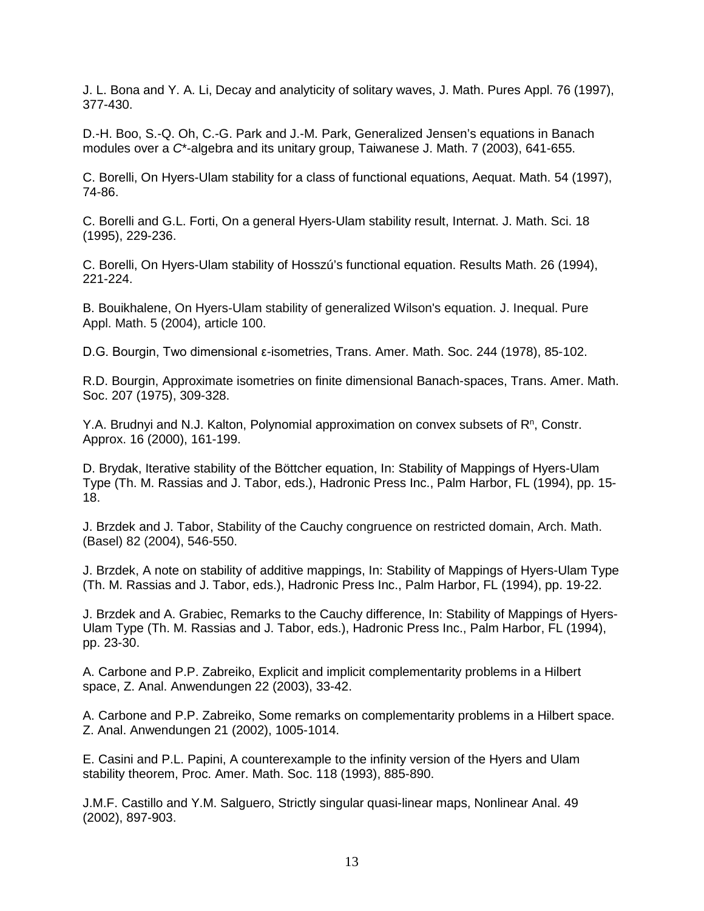J. L. Bona and Y. A. Li, Decay and analyticity of solitary waves, J. Math. Pures Appl. 76 (1997), 377-430.

D.-H. Boo, S.-Q. Oh, C.-G. Park and J.-M. Park, Generalized Jensen's equations in Banach modules over a *C*\*-algebra and its unitary group, Taiwanese J. Math. 7 (2003), 641-655.

C. Borelli, On Hyers-Ulam stability for a class of functional equations, Aequat. Math. 54 (1997), 74-86.

C. Borelli and G.L. Forti, On a general Hyers-Ulam stability result, Internat. J. Math. Sci. 18 (1995), 229-236.

C. Borelli, On Hyers-Ulam stability of Hosszú's functional equation. Results Math. 26 (1994), 221-224.

B. Bouikhalene, On Hyers-Ulam stability of generalized Wilson's equation. J. Inequal. Pure Appl. Math. 5 (2004), article 100.

D.G. Bourgin, Two dimensional ε-isometries, Trans. Amer. Math. Soc. 244 (1978), 85-102.

R.D. Bourgin, Approximate isometries on finite dimensional Banach-spaces, Trans. Amer. Math. Soc. 207 (1975), 309-328.

Y.A. Brudnyi and N.J. Kalton, Polynomial approximation on convex subsets of R<sup>n</sup>, Constr. Approx. 16 (2000), 161-199.

D. Brydak, Iterative stability of the Böttcher equation, In: Stability of Mappings of Hyers-Ulam Type (Th. M. Rassias and J. Tabor, eds.), Hadronic Press Inc., Palm Harbor, FL (1994), pp. 15- 18.

J. Brzdek and J. Tabor, Stability of the Cauchy congruence on restricted domain, Arch. Math. (Basel) 82 (2004), 546-550.

J. Brzdek, A note on stability of additive mappings, In: Stability of Mappings of Hyers-Ulam Type (Th. M. Rassias and J. Tabor, eds.), Hadronic Press Inc., Palm Harbor, FL (1994), pp. 19-22.

J. Brzdek and A. Grabiec, Remarks to the Cauchy difference, In: Stability of Mappings of Hyers-Ulam Type (Th. M. Rassias and J. Tabor, eds.), Hadronic Press Inc., Palm Harbor, FL (1994), pp. 23-30.

A. Carbone and P.P. Zabreiko, Explicit and implicit complementarity problems in a Hilbert space, Z. Anal. Anwendungen 22 (2003), 33-42.

A. Carbone and P.P. Zabreiko, Some remarks on complementarity problems in a Hilbert space. Z. Anal. Anwendungen 21 (2002), 1005-1014.

E. Casini and P.L. Papini, A counterexample to the infinity version of the Hyers and Ulam stability theorem, Proc. Amer. Math. Soc. 118 (1993), 885-890.

J.M.F. Castillo and Y.M. Salguero, Strictly singular quasi-linear maps, Nonlinear Anal. 49 (2002), 897-903.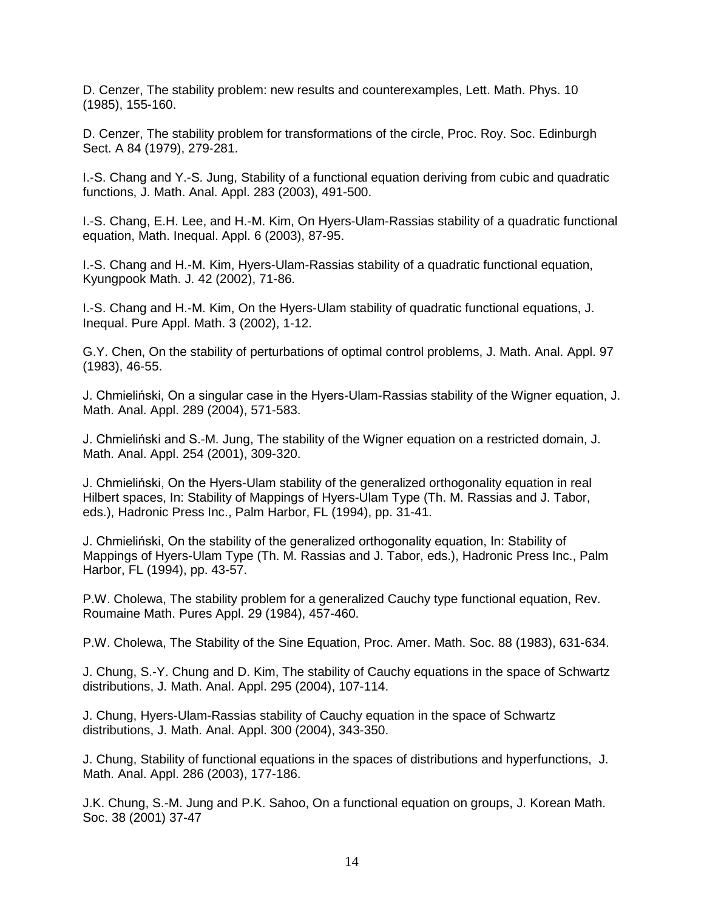D. Cenzer, The stability problem: new results and counterexamples, Lett. Math. Phys. 10 (1985), 155-160.

D. Cenzer, The stability problem for transformations of the circle, Proc. Roy. Soc. Edinburgh Sect. A 84 (1979), 279-281.

I.-S. Chang and Y.-S. Jung, Stability of a functional equation deriving from cubic and quadratic functions, J. Math. Anal. Appl. 283 (2003), 491-500.

I.-S. Chang, E.H. Lee, and H.-M. Kim, On Hyers-Ulam-Rassias stability of a quadratic functional equation, Math. Inequal. Appl. 6 (2003), 87-95.

I.-S. Chang and H.-M. Kim, Hyers-Ulam-Rassias stability of a quadratic functional equation, Kyungpook Math. J. 42 (2002), 71-86.

I.-S. Chang and H.-M. Kim, On the Hyers-Ulam stability of quadratic functional equations, J. Inequal. Pure Appl. Math. 3 (2002), 1-12.

G.Y. Chen, On the stability of perturbations of optimal control problems, J. Math. Anal. Appl. 97 (1983), 46-55.

J. Chmieliński, On a singular case in the Hyers-Ulam-Rassias stability of the Wigner equation, J. Math. Anal. Appl. 289 (2004), 571-583.

J. Chmieliński and S.-M. Jung, The stability of the Wigner equation on a restricted domain, J. Math. Anal. Appl. 254 (2001), 309-320.

J. Chmieliński, On the Hyers-Ulam stability of the generalized orthogonality equation in real Hilbert spaces, In: Stability of Mappings of Hyers-Ulam Type (Th. M. Rassias and J. Tabor, eds.), Hadronic Press Inc., Palm Harbor, FL (1994), pp. 31-41.

J. Chmieliński, On the stability of the generalized orthogonality equation, In: Stability of Mappings of Hyers-Ulam Type (Th. M. Rassias and J. Tabor, eds.), Hadronic Press Inc., Palm Harbor, FL (1994), pp. 43-57.

P.W. Cholewa, The stability problem for a generalized Cauchy type functional equation, Rev. Roumaine Math. Pures Appl. 29 (1984), 457-460.

P.W. Cholewa, The Stability of the Sine Equation, Proc. Amer. Math. Soc. 88 (1983), 631-634.

J. Chung, S.-Y. Chung and D. Kim, The stability of Cauchy equations in the space of Schwartz distributions, J. Math. Anal. Appl. 295 (2004), 107-114.

J. Chung, Hyers-Ulam-Rassias stability of Cauchy equation in the space of Schwartz distributions, J. Math. Anal. Appl. 300 (2004), 343-350.

J. Chung, Stability of functional equations in the spaces of distributions and hyperfunctions, J. Math. Anal. Appl. 286 (2003), 177-186.

J.K. Chung, S.-M. Jung and P.K. Sahoo, On a functional equation on groups, J. Korean Math. Soc. 38 (2001) 37-47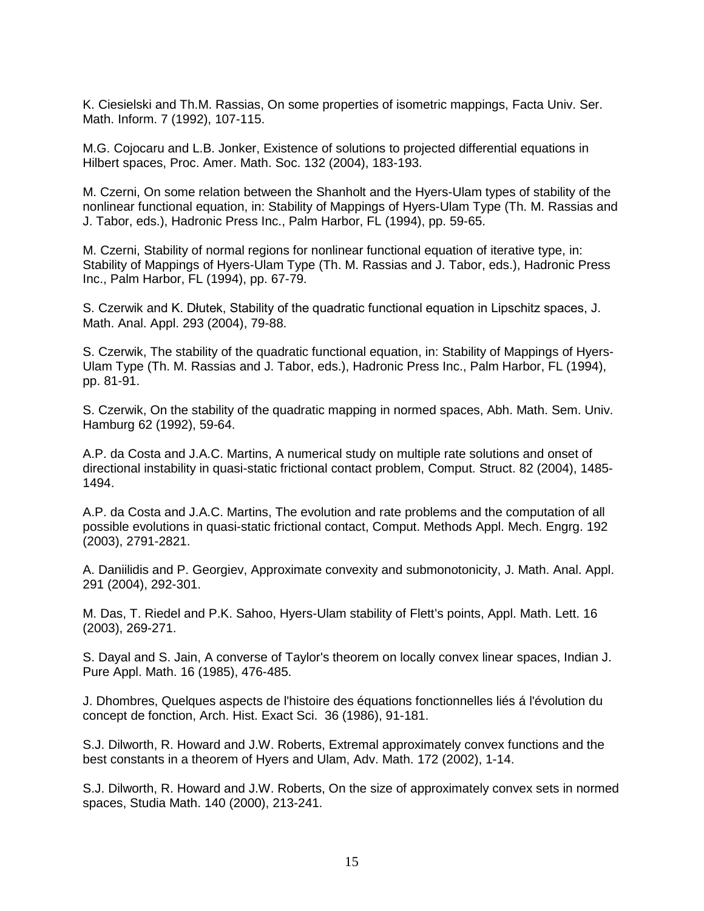K. Ciesielski and Th.M. Rassias, On some properties of isometric mappings, Facta Univ. Ser. Math. Inform. 7 (1992), 107-115.

M.G. Cojocaru and L.B. Jonker, Existence of solutions to projected differential equations in Hilbert spaces, Proc. Amer. Math. Soc. 132 (2004), 183-193.

M. Czerni, On some relation between the Shanholt and the Hyers-Ulam types of stability of the nonlinear functional equation, in: Stability of Mappings of Hyers-Ulam Type (Th. M. Rassias and J. Tabor, eds.), Hadronic Press Inc., Palm Harbor, FL (1994), pp. 59-65.

M. Czerni, Stability of normal regions for nonlinear functional equation of iterative type, in: Stability of Mappings of Hyers-Ulam Type (Th. M. Rassias and J. Tabor, eds.), Hadronic Press Inc., Palm Harbor, FL (1994), pp. 67-79.

S. Czerwik and K. Dłutek, Stability of the quadratic functional equation in Lipschitz spaces, J. Math. Anal. Appl. 293 (2004), 79-88.

S. Czerwik, The stability of the quadratic functional equation, in: Stability of Mappings of Hyers-Ulam Type (Th. M. Rassias and J. Tabor, eds.), Hadronic Press Inc., Palm Harbor, FL (1994), pp. 81-91.

S. Czerwik, On the stability of the quadratic mapping in normed spaces, Abh. Math. Sem. Univ. Hamburg 62 (1992), 59*-*64.

A.P. da Costa and J.A.C. Martins, A numerical study on multiple rate solutions and onset of directional instability in quasi-static frictional contact problem, Comput. Struct. 82 (2004), 1485- 1494.

A.P. da Costa and J.A.C. Martins, The evolution and rate problems and the computation of all possible evolutions in quasi-static frictional contact, Comput. Methods Appl. Mech. Engrg. 192 (2003), 2791-2821.

A. Daniilidis and P. Georgiev, Approximate convexity and submonotonicity, J. Math. Anal. Appl. 291 (2004), 292-301.

M. Das, T. Riedel and P.K. Sahoo, Hyers-Ulam stability of Flett's points, Appl. Math. Lett. 16 (2003), 269-271.

S. Dayal and S. Jain, A converse of Taylor's theorem on locally convex linear spaces, Indian J. Pure Appl. Math. 16 (1985), 476-485.

J. Dhombres, Quelques aspects de l'histoire des équations fonctionnelles liés á l'évolution du concept de fonction, Arch. Hist. Exact Sci. 36 (1986), 91-181.

S.J. Dilworth, R. Howard and J.W. Roberts, Extremal approximately convex functions and the best constants in a theorem of Hyers and Ulam, Adv. Math. 172 (2002), 1-14.

S.J. Dilworth, R. Howard and J.W. Roberts, On the size of approximately convex sets in normed spaces, Studia Math. 140 (2000), 213-241.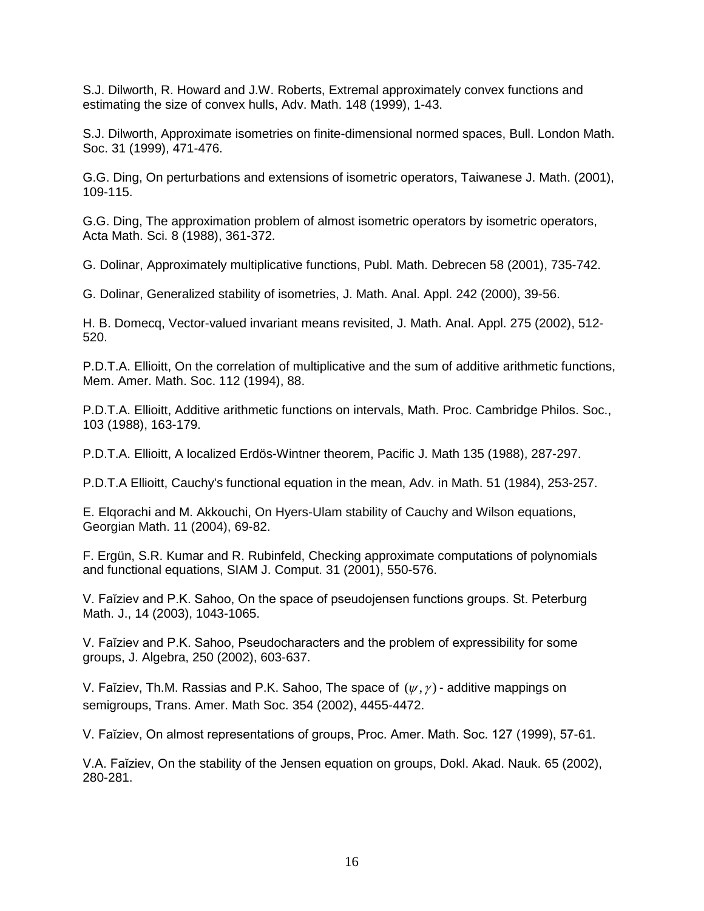S.J. Dilworth, R. Howard and J.W. Roberts, Extremal approximately convex functions and estimating the size of convex hulls, Adv. Math. 148 (1999), 1-43.

S.J. Dilworth, Approximate isometries on finite-dimensional normed spaces, Bull. London Math. Soc. 31 (1999), 471-476.

G.G. Ding, On perturbations and extensions of isometric operators, Taiwanese J. Math. (2001), 109-115.

G.G. Ding, The approximation problem of almost isometric operators by isometric operators, Acta Math. Sci. 8 (1988), 361-372.

G. Dolinar, Approximately multiplicative functions, Publ. Math. Debrecen 58 (2001), 735-742.

G. Dolinar, Generalized stability of isometries, J. Math. Anal. Appl. 242 (2000), 39-56.

H. B. Domecq, Vector-valued invariant means revisited, J. Math. Anal. Appl. 275 (2002), 512- 520.

P.D.T.A. Ellioitt, On the correlation of multiplicative and the sum of additive arithmetic functions, Mem. Amer. Math. Soc. 112 (1994), 88.

P.D.T.A. Ellioitt, Additive arithmetic functions on intervals, Math. Proc. Cambridge Philos. Soc., 103 (1988), 163-179.

P.D.T.A. Ellioitt, A localized Erdös-Wintner theorem, Pacific J. Math 135 (1988), 287-297.

P.D.T.A Ellioitt, Cauchy's functional equation in the mean, Adv. in Math. 51 (1984), 253-257.

E. Elqorachi and M. Akkouchi, On Hyers-Ulam stability of Cauchy and Wilson equations, Georgian Math. 11 (2004), 69-82.

F. Ergün, S.R. Kumar and R. Rubinfeld, Checking approximate computations of polynomials and functional equations, SIAM J. Comput. 31 (2001), 550-576.

V. Faĭziev and P.K. Sahoo, On the space of pseudojensen functions groups. St. Peterburg Math. J., 14 (2003), 1043-1065.

V. Faĭziev and P.K. Sahoo, Pseudocharacters and the problem of expressibility for some groups, J. Algebra, 250 (2002), 603-637.

V. Faĭziev, Th.M. Rassias and P.K. Sahoo, The space of  $(\psi, \gamma)$  - additive mappings on semigroups, Trans. Amer. Math Soc. 354 (2002), 4455-4472.

V. Faĭziev, On almost representations of groups, Proc. Amer. Math. Soc. 127 (1999), 57-61.

V.A. Faĭziev, On the stability of the Jensen equation on groups, Dokl. Akad. Nauk. 65 (2002), 280-281.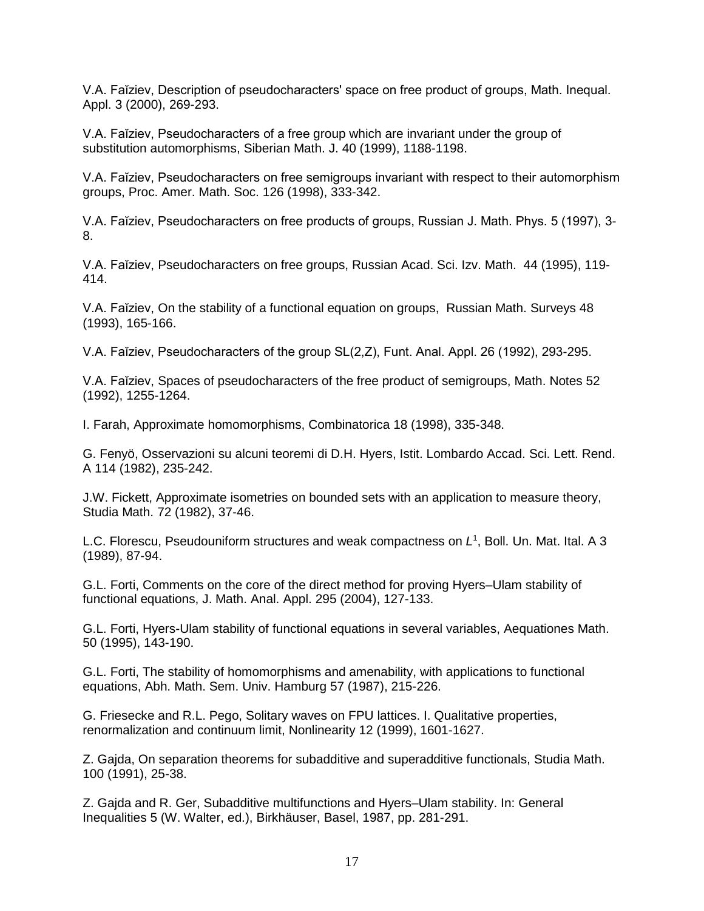V.A. Faĭziev, Description of pseudocharacters' space on free product of groups, Math. Inequal. Appl. 3 (2000), 269-293.

V.A. Faĭziev, Pseudocharacters of a free group which are invariant under the group of substitution automorphisms, Siberian Math. J. 40 (1999), 1188-1198.

V.A. Faĭziev, Pseudocharacters on free semigroups invariant with respect to their automorphism groups, Proc. Amer. Math. Soc. 126 (1998), 333-342.

V.A. Faĭziev, Pseudocharacters on free products of groups, Russian J. Math. Phys. 5 (1997), 3- 8.

V.A. Faĭziev, Pseudocharacters on free groups, Russian Acad. Sci. Izv. Math. 44 (1995), 119- 414.

V.A. Faĭziev, On the stability of a functional equation on groups, Russian Math. Surveys 48 (1993), 165-166.

V.A. Faĭziev, Pseudocharacters of the group SL(2,Z), Funt. Anal. Appl. 26 (1992), 293-295.

V.A. Faĭziev, Spaces of pseudocharacters of the free product of semigroups, Math. Notes 52 (1992), 1255-1264.

I. Farah, Approximate homomorphisms, Combinatorica 18 (1998), 335-348.

G. Fenyö, Osservazioni su alcuni teoremi di D.H. Hyers, Istit. Lombardo Accad. Sci. Lett. Rend. A 114 (1982), 235-242.

J.W. Fickett, Approximate isometries on bounded sets with an application to measure theory, Studia Math. 72 (1982), 37-46.

L.C. Florescu, Pseudouniform structures and weak compactness on *L*<sup>1</sup> , Boll. Un. Mat. Ital. A 3 (1989), 87-94.

G.L. Forti, Comments on the core of the direct method for proving Hyers–Ulam stability of functional equations, J. Math. Anal. Appl. 295 (2004), 127-133.

G.L. Forti, Hyers-Ulam stability of functional equations in several variables, Aequationes Math. 50 (1995), 143-190.

G.L. Forti, The stability of homomorphisms and amenability, with applications to functional equations, Abh. Math. Sem. Univ. Hamburg 57 (1987), 215-226.

G. Friesecke and R.L. Pego, Solitary waves on FPU lattices. I. Qualitative properties, renormalization and continuum limit, Nonlinearity 12 (1999), 1601-1627.

Z. Gajda, On separation theorems for subadditive and superadditive functionals, Studia Math. 100 (1991), 25-38.

Z. Gajda and R. Ger, Subadditive multifunctions and Hyers–Ulam stability. In: General Inequalities 5 (W. Walter, ed.), Birkhäuser, Basel, 1987, pp. 281-291.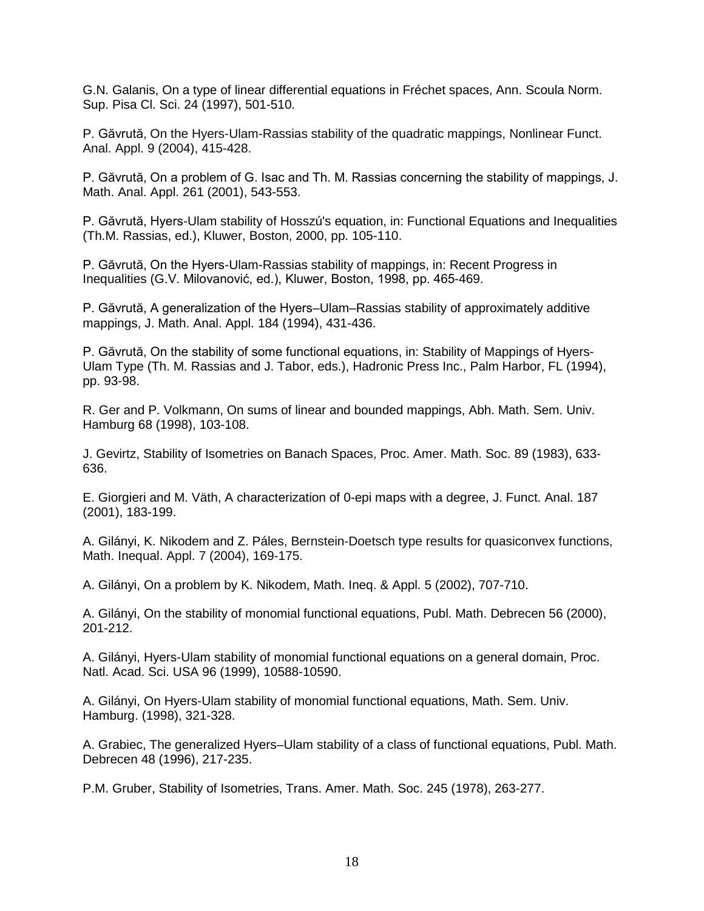G.N. Galanis, On a type of linear differential equations in Fréchet spaces, Ann. Scoula Norm. Sup. Pisa Cl. Sci. 24 (1997), 501-510.

P. Găvrută, On the Hyers-Ulam-Rassias stability of the quadratic mappings, Nonlinear Funct. Anal. Appl. 9 (2004), 415-428.

P. Găvrută, On a problem of G. Isac and Th. M. Rassias concerning the stability of mappings, J. Math. Anal. Appl. 261 (2001), 543-553.

P. Găvrută, Hyers-Ulam stability of Hosszú's equation, in: Functional Equations and Inequalities (Th.M. Rassias, ed.), Kluwer, Boston, 2000, pp. 105-110.

P. Găvrută, On the Hyers-Ulam-Rassias stability of mappings, in: Recent Progress in Inequalities (G.V. Milovanović, ed.), Kluwer, Boston, 1998, pp. 465-469.

P. Găvrută, A generalization of the Hyers–Ulam–Rassias stability of approximately additive mappings, J. Math. Anal. Appl. 184 (1994), 431-436.

P. Găvrută, On the stability of some functional equations, in: Stability of Mappings of Hyers-Ulam Type (Th. M. Rassias and J. Tabor, eds.), Hadronic Press Inc., Palm Harbor, FL (1994), pp. 93-98.

R. Ger and P. Volkmann, On sums of linear and bounded mappings, Abh. Math. Sem. Univ. Hamburg 68 (1998), 103-108.

J. Gevirtz, Stability of Isometries on Banach Spaces, Proc. Amer. Math. Soc. 89 (1983), 633- 636.

E. Giorgieri and M. Väth, A characterization of 0-epi maps with a degree, J. Funct. Anal. 187 (2001), 183-199.

A. Gilányi, K. Nikodem and Z. Páles, Bernstein-Doetsch type results for quasiconvex functions, Math. Inequal. Appl. 7 (2004), 169-175.

A. Gilányi, On a problem by K. Nikodem, Math. Ineq. & Appl. 5 (2002), 707-710.

A. Gilányi, On the stability of monomial functional equations, Publ. Math. Debrecen 56 (2000), 201-212.

A. Gilányi, Hyers-Ulam stability of monomial functional equations on a general domain, Proc. Natl. Acad. Sci. USA 96 (1999), 10588-10590.

A. Gilányi, On Hyers-Ulam stability of monomial functional equations, Math. Sem. Univ. Hamburg. (1998), 321-328.

A. Grabiec, The generalized Hyers–Ulam stability of a class of functional equations, Publ. Math. Debrecen 48 (1996), 217-235.

P.M. Gruber, Stability of Isometries, Trans. Amer. Math. Soc. 245 (1978), 263-277.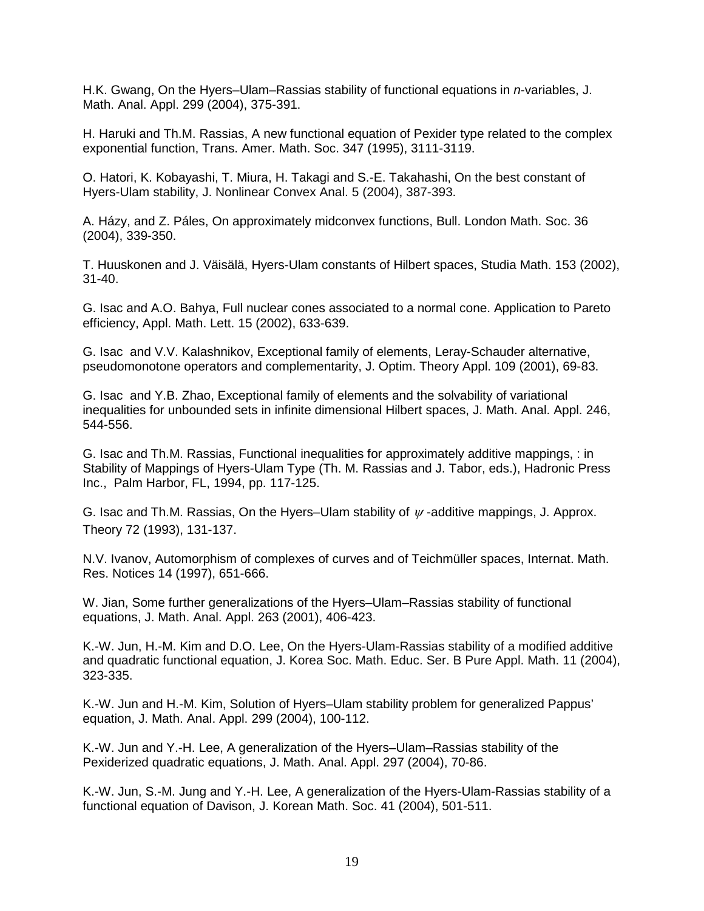H.K. Gwang, On the Hyers–Ulam–Rassias stability of functional equations in *n*-variables, J. Math. Anal. Appl. 299 (2004), 375-391.

H. Haruki and Th.M. Rassias, A new functional equation of Pexider type related to the complex exponential function, Trans. Amer. Math. Soc. 347 (1995), 3111-3119.

O. Hatori, K. Kobayashi, T. Miura, H. Takagi and S.-E. Takahashi, On the best constant of Hyers-Ulam stability, J. Nonlinear Convex Anal. 5 (2004), 387-393.

A. Házy, and Z. Páles, On approximately midconvex functions, Bull. London Math. Soc. 36 (2004), 339-350.

T. Huuskonen and J. Väisälä, Hyers-Ulam constants of Hilbert spaces, Studia Math. 153 (2002), 31-40.

G. Isac and A.O. Bahya, Full nuclear cones associated to a normal cone. Application to Pareto efficiency, Appl. Math. Lett. 15 (2002), 633-639.

G. Isac and V.V. Kalashnikov, Exceptional family of elements, Leray-Schauder alternative, pseudomonotone operators and complementarity, J. Optim. Theory Appl. 109 (2001), 69-83.

G. Isac and Y.B. Zhao, Exceptional family of elements and the solvability of variational inequalities for unbounded sets in infinite dimensional Hilbert spaces, J. Math. Anal. Appl. 246, 544-556.

G. Isac and Th.M. Rassias, Functional inequalities for approximately additive mappings, : in Stability of Mappings of Hyers-Ulam Type (Th. M. Rassias and J. Tabor, eds.), Hadronic Press Inc., Palm Harbor, FL, 1994, pp. 117-125.

G. Isac and Th.M. Rassias, On the Hyers–Ulam stability of  $\psi$ -additive mappings, J. Approx. Theory 72 (1993), 131-137.

N.V. Ivanov, Automorphism of complexes of curves and of Teichmüller spaces, Internat. Math. Res. Notices 14 (1997), 651-666.

W. Jian, Some further generalizations of the Hyers–Ulam–Rassias stability of functional equations, J. Math. Anal. Appl. 263 (2001), 406-423.

K.-W. Jun, H.-M. Kim and D.O. Lee, On the Hyers-Ulam-Rassias stability of a modified additive and quadratic functional equation, J. Korea Soc. Math. Educ. Ser. B Pure Appl. Math. 11 (2004), 323-335.

K.-W. Jun and H.-M. Kim, Solution of Hyers–Ulam stability problem for generalized Pappus' equation, J. Math. Anal. Appl. 299 (2004), 100-112.

K.-W. Jun and Y.-H. Lee, A generalization of the Hyers–Ulam–Rassias stability of the Pexiderized quadratic equations, J. Math. Anal. Appl. 297 (2004), 70-86.

K.-W. Jun, S.-M. Jung and Y.-H. Lee, A generalization of the Hyers-Ulam-Rassias stability of a functional equation of Davison, J. Korean Math. Soc. 41 (2004), 501-511.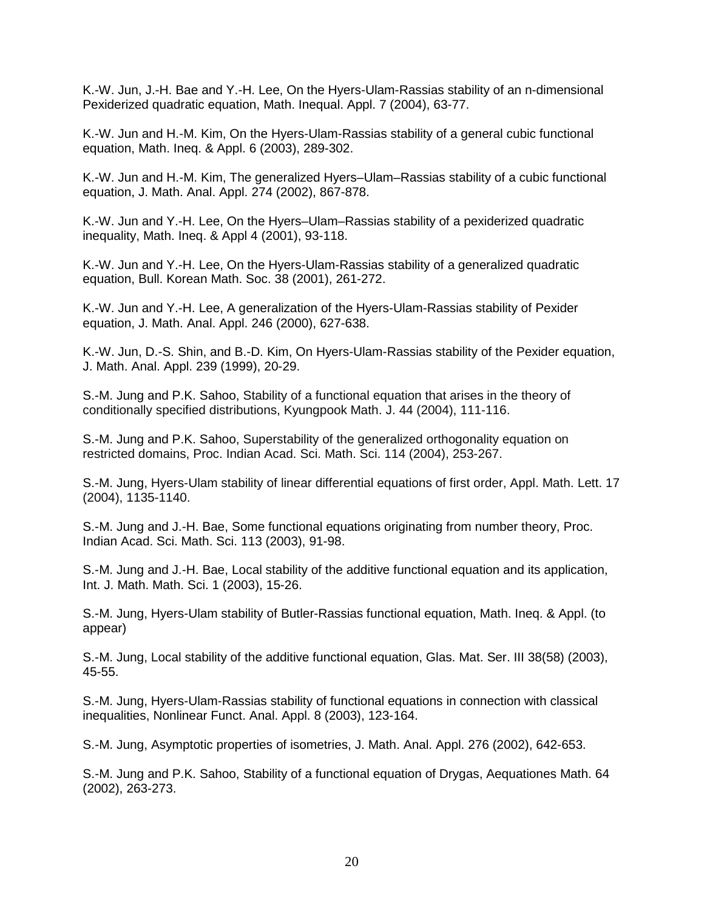K.-W. Jun, J.-H. Bae and Y.-H. Lee, On the Hyers-Ulam-Rassias stability of an n-dimensional Pexiderized quadratic equation, Math. Inequal. Appl. 7 (2004), 63-77.

K.-W. Jun and H.-M. Kim, On the Hyers-Ulam-Rassias stability of a general cubic functional equation, Math. Ineq. & Appl. 6 (2003), 289-302.

K.-W. Jun and H.-M. Kim, The generalized Hyers–Ulam–Rassias stability of a cubic functional equation, J. Math. Anal. Appl. 274 (2002), 867-878.

K.-W. Jun and Y.-H. Lee, On the Hyers–Ulam–Rassias stability of a pexiderized quadratic inequality, Math. Ineq. & Appl 4 (2001), 93-118.

K.-W. Jun and Y.-H. Lee, On the Hyers-Ulam-Rassias stability of a generalized quadratic equation, Bull. Korean Math. Soc. 38 (2001), 261-272.

K.-W. Jun and Y.-H. Lee, A generalization of the Hyers-Ulam-Rassias stability of Pexider equation, J. Math. Anal. Appl. 246 (2000), 627-638.

K.-W. Jun, D.-S. Shin, and B.-D. Kim, On Hyers-Ulam-Rassias stability of the Pexider equation, J. Math. Anal. Appl. 239 (1999), 20-29.

S.-M. Jung and P.K. Sahoo, Stability of a functional equation that arises in the theory of conditionally specified distributions, Kyungpook Math. J. 44 (2004), 111-116.

S.-M. Jung and P.K. Sahoo, Superstability of the generalized orthogonality equation on restricted domains, Proc. Indian Acad. Sci. Math. Sci. 114 (2004), 253-267.

S.-M. Jung, Hyers-Ulam stability of linear differential equations of first order, Appl. Math. Lett. 17 (2004), 1135-1140.

S.-M. Jung and J.-H. Bae, Some functional equations originating from number theory, Proc. Indian Acad. Sci. Math. Sci. 113 (2003), 91-98.

S.-M. Jung and J.-H. Bae, Local stability of the additive functional equation and its application, Int. J. Math. Math. Sci. 1 (2003), 15-26.

S.-M. Jung, Hyers-Ulam stability of Butler-Rassias functional equation, Math. Ineq. & Appl. (to appear)

S.-M. Jung, Local stability of the additive functional equation, Glas. Mat. Ser. III 38(58) (2003), 45-55.

S.-M. Jung, Hyers-Ulam-Rassias stability of functional equations in connection with classical inequalities, Nonlinear Funct. Anal. Appl. 8 (2003), 123-164.

S.-M. Jung, Asymptotic properties of isometries, J. Math. Anal. Appl. 276 (2002), 642-653.

S.-M. Jung and P.K. Sahoo, Stability of a functional equation of Drygas, Aequationes Math. 64 (2002), 263-273.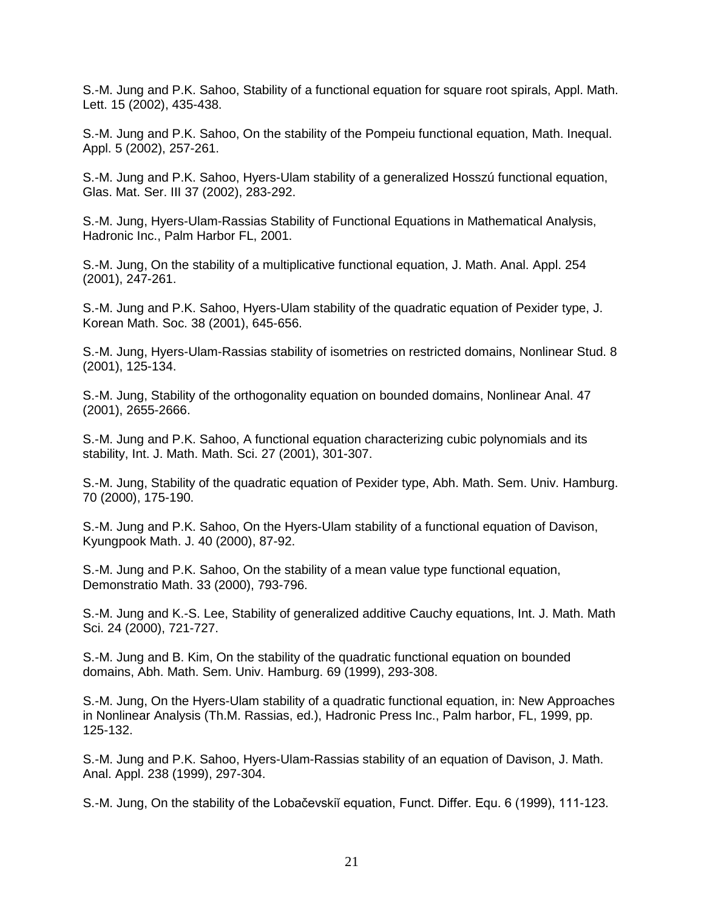S.-M. Jung and P.K. Sahoo, Stability of a functional equation for square root spirals, Appl. Math. Lett. 15 (2002), 435-438.

S.-M. Jung and P.K. Sahoo, On the stability of the Pompeiu functional equation, Math. Inequal. Appl. 5 (2002), 257-261.

S.-M. Jung and P.K. Sahoo, Hyers-Ulam stability of a generalized Hosszú functional equation, Glas. Mat. Ser. III 37 (2002), 283-292.

S.-M. Jung, Hyers-Ulam-Rassias Stability of Functional Equations in Mathematical Analysis, Hadronic Inc., Palm Harbor FL, 2001.

S.-M. Jung, On the stability of a multiplicative functional equation, J. Math. Anal. Appl. 254 (2001), 247-261.

S.-M. Jung and P.K. Sahoo, Hyers-Ulam stability of the quadratic equation of Pexider type, J. Korean Math. Soc. 38 (2001), 645-656.

S.-M. Jung, Hyers-Ulam-Rassias stability of isometries on restricted domains, Nonlinear Stud. 8 (2001), 125-134.

S.-M. Jung, Stability of the orthogonality equation on bounded domains, Nonlinear Anal. 47 (2001), 2655-2666.

S.-M. Jung and P.K. Sahoo, A functional equation characterizing cubic polynomials and its stability, Int. J. Math. Math. Sci. 27 (2001), 301-307.

S.-M. Jung, Stability of the quadratic equation of Pexider type, Abh. Math. Sem. Univ. Hamburg. 70 (2000), 175-190.

S.-M. Jung and P.K. Sahoo, On the Hyers-Ulam stability of a functional equation of Davison, Kyungpook Math. J. 40 (2000), 87-92.

S.-M. Jung and P.K. Sahoo, On the stability of a mean value type functional equation, Demonstratio Math. 33 (2000), 793-796.

S.-M. Jung and K.-S. Lee, Stability of generalized additive Cauchy equations, Int. J. Math. Math Sci. 24 (2000), 721-727.

S.-M. Jung and B. Kim, On the stability of the quadratic functional equation on bounded domains, Abh. Math. Sem. Univ. Hamburg. 69 (1999), 293-308.

S.-M. Jung, On the Hyers-Ulam stability of a quadratic functional equation, in: New Approaches in Nonlinear Analysis (Th.M. Rassias, ed.), Hadronic Press Inc., Palm harbor, FL, 1999, pp. 125-132.

S.-M. Jung and P.K. Sahoo, Hyers-Ulam-Rassias stability of an equation of Davison, J. Math. Anal. Appl. 238 (1999), 297-304.

S.-M. Jung, On the stability of the Lobačevskiĭ equation, Funct. Differ. Equ. 6 (1999), 111-123.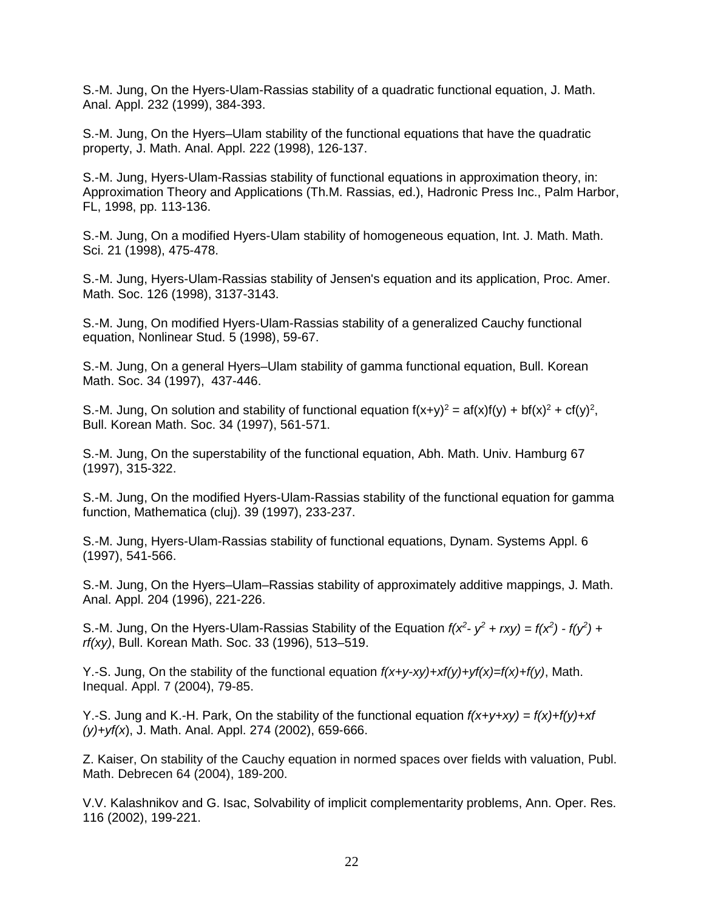S.-M. Jung, On the Hyers-Ulam-Rassias stability of a quadratic functional equation, J. Math. Anal. Appl. 232 (1999), 384-393.

S.-M. Jung, On the Hyers–Ulam stability of the functional equations that have the quadratic property, J. Math. Anal. Appl. 222 (1998), 126-137.

S.-M. Jung, Hyers-Ulam-Rassias stability of functional equations in approximation theory, in: Approximation Theory and Applications (Th.M. Rassias, ed.), Hadronic Press Inc., Palm Harbor, FL, 1998, pp. 113-136.

S.-M. Jung, On a modified Hyers-Ulam stability of homogeneous equation, Int. J. Math. Math. Sci. 21 (1998), 475-478.

S.-M. Jung, Hyers-Ulam-Rassias stability of Jensen's equation and its application, Proc. Amer. Math. Soc. 126 (1998), 3137-3143.

S.-M. Jung, On modified Hyers-Ulam-Rassias stability of a generalized Cauchy functional equation, Nonlinear Stud. 5 (1998), 59-67.

S.-M. Jung, On a general Hyers–Ulam stability of gamma functional equation, Bull. Korean Math. Soc. 34 (1997), 437-446.

S.-M. Jung, On solution and stability of functional equation  $f(x+y)^2 = af(x)f(y) + bf(x)^2 + cf(y)^2$ , Bull. Korean Math. Soc. 34 (1997), 561-571.

S.-M. Jung, On the superstability of the functional equation, Abh. Math. Univ. Hamburg 67 (1997), 315-322.

S.-M. Jung, On the modified Hyers-Ulam-Rassias stability of the functional equation for gamma function, Mathematica (cluj). 39 (1997), 233-237.

S.-M. Jung, Hyers-Ulam-Rassias stability of functional equations, Dynam. Systems Appl. 6 (1997), 541-566.

S.-M. Jung, On the Hyers–Ulam–Rassias stability of approximately additive mappings, J. Math. Anal. Appl. 204 (1996), 221-226.

S.-M. Jung, On the Hyers-Ulam-Rassias Stability of the Equation  $f(x^2 - y^2 + rxy) = f(x^2) - f(y^2) +$ *rf(xy)*, Bull. Korean Math. Soc. 33 (1996), 513–519.

Y.-S. Jung, On the stability of the functional equation *f(x+y-xy)+xf(y)+yf(x)=f(x)+f(y)*, Math. Inequal. Appl. 7 (2004), 79-85.

Y.-S. Jung and K.-H. Park, On the stability of the functional equation *f(x+y+xy) = f(x)+f(y)+xf (y)+yf(x*), J. Math. Anal. Appl. 274 (2002), 659-666.

Z. Kaiser, On stability of the Cauchy equation in normed spaces over fields with valuation, Publ. Math. Debrecen 64 (2004), 189-200.

V.V. Kalashnikov and G. Isac, Solvability of implicit complementarity problems, Ann. Oper. Res. 116 (2002), 199-221.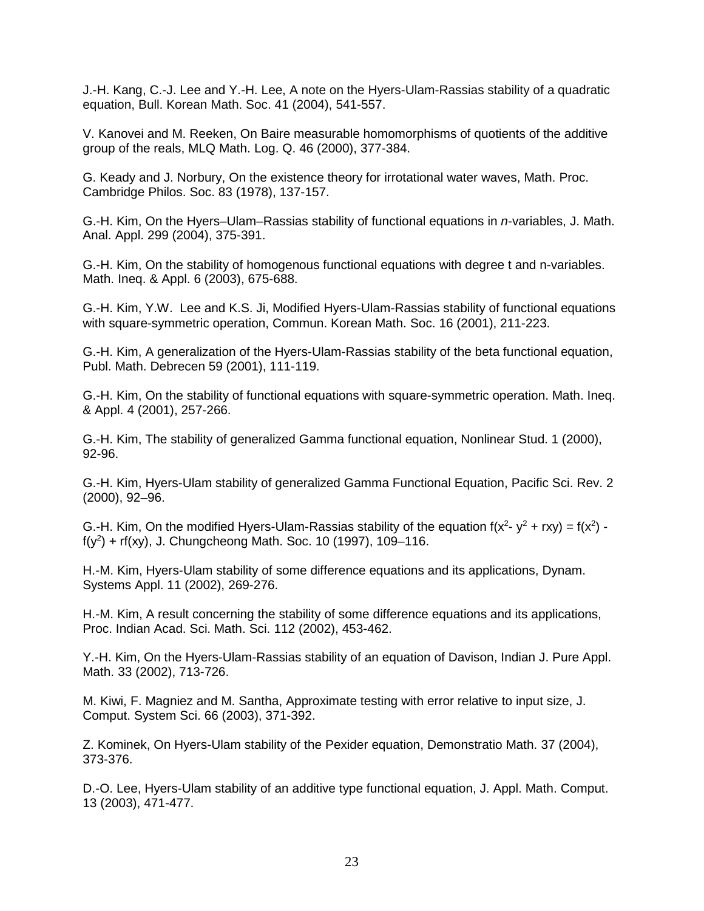J.-H. Kang, C.-J. Lee and Y.-H. Lee, A note on the Hyers-Ulam-Rassias stability of a quadratic equation, Bull. Korean Math. Soc. 41 (2004), 541-557.

V. Kanovei and M. Reeken, On Baire measurable homomorphisms of quotients of the additive group of the reals, MLQ Math. Log. Q. 46 (2000), 377-384.

G. Keady and J. Norbury, On the existence theory for irrotational water waves, Math. Proc. Cambridge Philos. Soc. 83 (1978), 137-157.

G.-H. Kim, On the Hyers–Ulam–Rassias stability of functional equations in *n*-variables, J. Math. Anal. Appl. 299 (2004), 375-391.

G.-H. Kim, On the stability of homogenous functional equations with degree t and n-variables. Math. Ineq. & Appl. 6 (2003), 675-688.

G.-H. Kim, Y.W. Lee and K.S. Ji, Modified Hyers-Ulam-Rassias stability of functional equations with square-symmetric operation, Commun. Korean Math. Soc. 16 (2001), 211-223.

G.-H. Kim, A generalization of the Hyers-Ulam-Rassias stability of the beta functional equation, Publ. Math. Debrecen 59 (2001), 111-119.

G.-H. Kim, On the stability of functional equations with square-symmetric operation. Math. Ineq. & Appl. 4 (2001), 257-266.

G.-H. Kim, The stability of generalized Gamma functional equation, Nonlinear Stud. 1 (2000), 92-96.

G.-H. Kim, Hyers-Ulam stability of generalized Gamma Functional Equation, Pacific Sci. Rev. 2 (2000), 92–96.

G.-H. Kim, On the modified Hyers-Ulam-Rassias stability of the equation  $f(x^2 - y^2 + rxy) = f(x^2)$ .  $f(y^2) + rf(xy)$ , J. Chungcheong Math. Soc. 10 (1997), 109–116.

H.-M. Kim, Hyers-Ulam stability of some difference equations and its applications, Dynam. Systems Appl. 11 (2002), 269-276.

H.-M. Kim, A result concerning the stability of some difference equations and its applications, Proc. Indian Acad. Sci. Math. Sci. 112 (2002), 453-462.

Y.-H. Kim, On the Hyers-Ulam-Rassias stability of an equation of Davison, Indian J. Pure Appl. Math. 33 (2002), 713-726.

M. Kiwi, F. Magniez and M. Santha, Approximate testing with error relative to input size, J. Comput. System Sci. 66 (2003), 371-392.

Z. Kominek, On Hyers-Ulam stability of the Pexider equation, Demonstratio Math. 37 (2004), 373-376.

D.-O. Lee, Hyers-Ulam stability of an additive type functional equation, J. Appl. Math. Comput. 13 (2003), 471-477.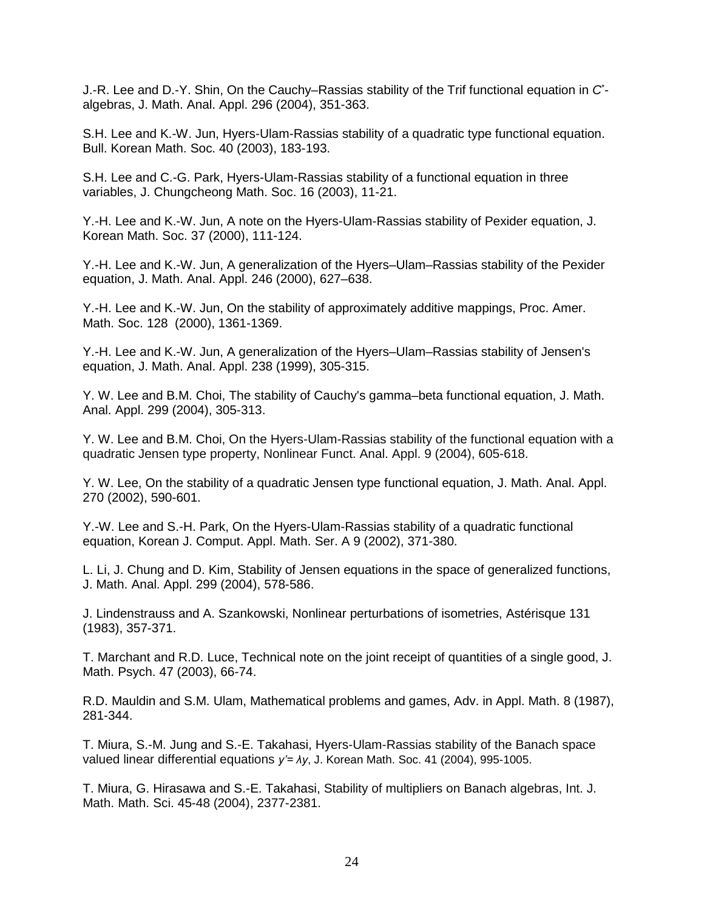J.-R. Lee and D.-Y. Shin, On the Cauchy–Rassias stability of the Trif functional equation in *C*\* algebras, J. Math. Anal. Appl. 296 (2004), 351-363.

S.H. Lee and K.-W. Jun, Hyers-Ulam-Rassias stability of a quadratic type functional equation. Bull. Korean Math. Soc. 40 (2003), 183-193.

S.H. Lee and C.-G. Park, Hyers-Ulam-Rassias stability of a functional equation in three variables, J. Chungcheong Math. Soc. 16 (2003), 11-21.

Y.-H. Lee and K.-W. Jun, A note on the Hyers-Ulam-Rassias stability of Pexider equation, J. Korean Math. Soc. 37 (2000), 111-124.

Y.-H. Lee and K.-W. Jun, A generalization of the Hyers–Ulam–Rassias stability of the Pexider equation, J. Math. Anal. Appl. 246 (2000), 627–638.

Y.-H. Lee and K.-W. Jun, On the stability of approximately additive mappings, Proc. Amer. Math. Soc. 128 (2000), 1361-1369.

Y.-H. Lee and K.-W. Jun, A generalization of the Hyers–Ulam–Rassias stability of Jensen's equation, J. Math. Anal. Appl. 238 (1999), 305-315.

Y. W. Lee and B.M. Choi, The stability of Cauchy's gamma–beta functional equation, J. Math. Anal. Appl. 299 (2004), 305-313.

Y. W. Lee and B.M. Choi, On the Hyers-Ulam-Rassias stability of the functional equation with a quadratic Jensen type property, Nonlinear Funct. Anal. Appl. 9 (2004), 605-618.

Y. W. Lee, On the stability of a quadratic Jensen type functional equation, J. Math. Anal. Appl. 270 (2002), 590-601.

Y.-W. Lee and S.-H. Park, On the Hyers-Ulam-Rassias stability of a quadratic functional equation, Korean J. Comput. Appl. Math. Ser. A 9 (2002), 371-380.

L. Li, J. Chung and D. Kim, Stability of Jensen equations in the space of generalized functions, J. Math. Anal. Appl. 299 (2004), 578-586.

J. Lindenstrauss and A. Szankowski, Nonlinear perturbations of isometries, Astérisque 131 (1983), 357-371.

T. Marchant and R.D. Luce, Technical note on the joint receipt of quantities of a single good, J. Math. Psych. 47 (2003), 66-74.

R.D. Mauldin and S.M. Ulam, Mathematical problems and games, Adv. in Appl. Math. 8 (1987), 281-344.

T. Miura, S.-M. Jung and S.-E. Takahasi, Hyers-Ulam-Rassias stability of the Banach space valued linear differential equations *y'= λy*, J. Korean Math. Soc. 41 (2004), 995-1005.

T. Miura, G. Hirasawa and S.-E. Takahasi, Stability of multipliers on Banach algebras, Int. J. Math. Math. Sci. 45-48 (2004), 2377-2381.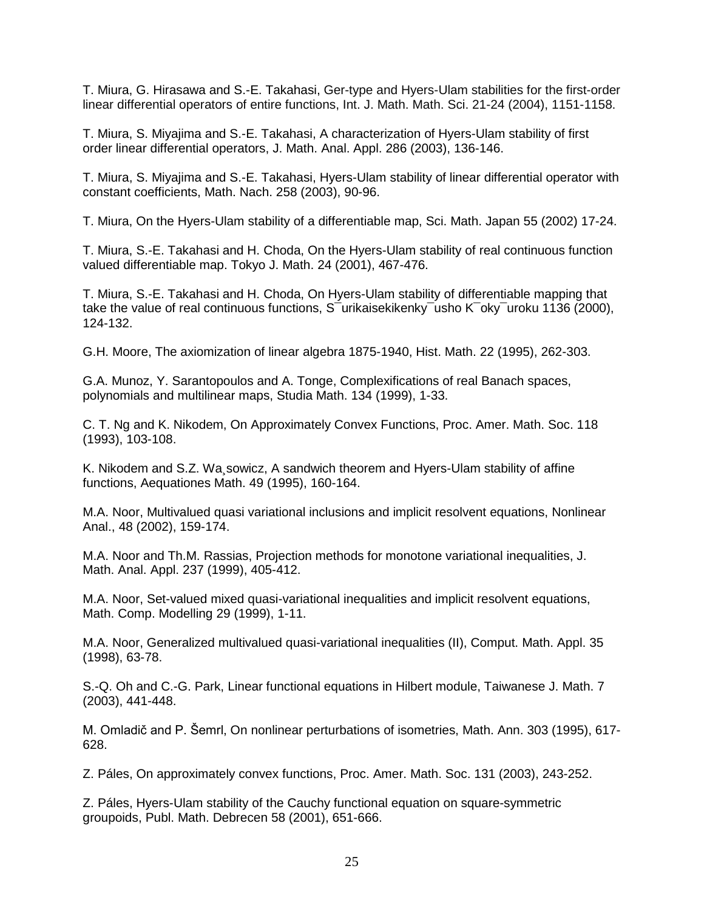T. Miura, G. Hirasawa and S.-E. Takahasi, Ger-type and Hyers-Ulam stabilities for the first-order linear differential operators of entire functions, Int. J. Math. Math. Sci. 21-24 (2004), 1151-1158.

T. Miura, S. Miyajima and S.-E. Takahasi, A characterization of Hyers-Ulam stability of first order linear differential operators, J. Math. Anal. Appl. 286 (2003), 136-146.

T. Miura, S. Miyajima and S.-E. Takahasi, Hyers-Ulam stability of linear differential operator with constant coefficients, Math. Nach. 258 (2003), 90-96.

T. Miura, On the Hyers-Ulam stability of a differentiable map, Sci. Math. Japan 55 (2002) 17-24.

T. Miura, S.-E. Takahasi and H. Choda, On the Hyers-Ulam stability of real continuous function valued differentiable map. Tokyo J. Math. 24 (2001), 467-476.

T. Miura, S.-E. Takahasi and H. Choda, On Hyers-Ulam stability of differentiable mapping that take the value of real continuous functions, S<sup>-</sup>urikaisekikenky<sup>-</sup>usho K<sup>-</sup>oky<sup>-</sup>uroku 1136 (2000), 124-132.

G.H. Moore, The axiomization of linear algebra 1875-1940, Hist. Math. 22 (1995), 262-303.

G.A. Munoz, Y. Sarantopoulos and A. Tonge, Complexifications of real Banach spaces, polynomials and multilinear maps, Studia Math. 134 (1999), 1-33.

C. T. Ng and K. Nikodem, On Approximately Convex Functions, Proc. Amer. Math. Soc. 118 (1993), 103-108.

K. Nikodem and S.Z. Wa¸sowicz, A sandwich theorem and Hyers-Ulam stability of affine functions, Aequationes Math. 49 (1995), 160-164.

M.A. Noor, Multivalued quasi variational inclusions and implicit resolvent equations, Nonlinear Anal., 48 (2002), 159-174.

M.A. Noor and Th.M. Rassias, Projection methods for monotone variational inequalities, J. Math. Anal. Appl. 237 (1999), 405-412.

M.A. Noor, Set-valued mixed quasi-variational inequalities and implicit resolvent equations, Math. Comp. Modelling 29 (1999), 1-11.

M.A. Noor, Generalized multivalued quasi-variational inequalities (II), Comput. Math. Appl. 35 (1998), 63-78.

S.-Q. Oh and C.-G. Park, Linear functional equations in Hilbert module, Taiwanese J. Math. 7 (2003), 441-448.

M. Omladič and P. Šemrl, On nonlinear perturbations of isometries, Math. Ann. 303 (1995), 617- 628.

Z. Páles, On approximately convex functions, Proc. Amer. Math. Soc. 131 (2003), 243-252.

Z. Páles, Hyers-Ulam stability of the Cauchy functional equation on square-symmetric groupoids, Publ. Math. Debrecen 58 (2001), 651-666.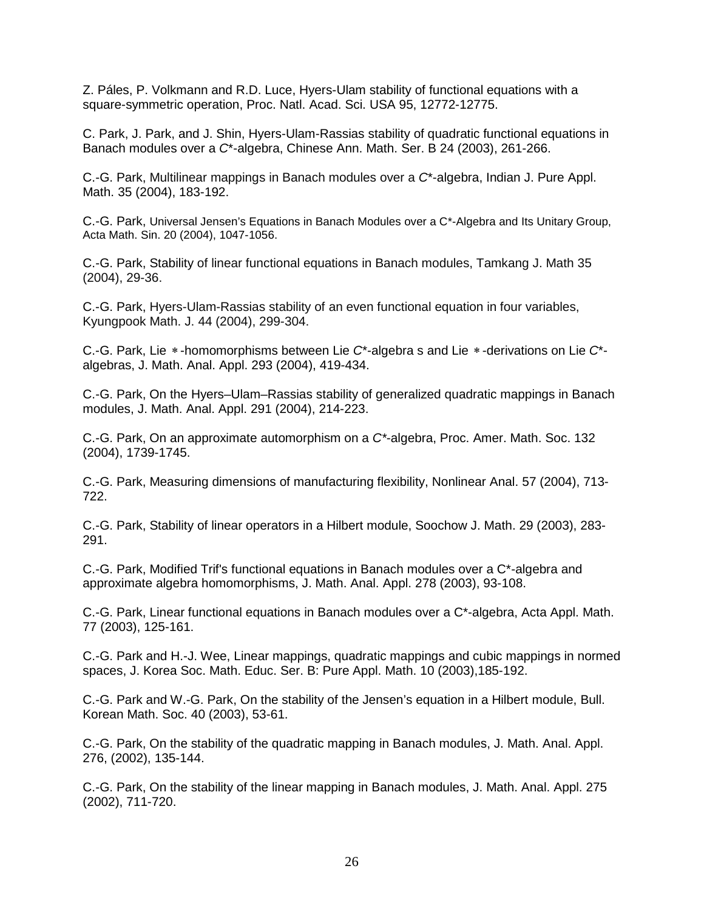Z. Páles, P. Volkmann and R.D. Luce, Hyers-Ulam stability of functional equations with a square-symmetric operation, Proc. Natl. Acad. Sci. USA 95, 12772-12775.

C. Park, J. Park, and J. Shin, Hyers-Ulam-Rassias stability of quadratic functional equations in Banach modules over a *C*\*-algebra, Chinese Ann. Math. Ser. B 24 (2003), 261-266.

C.-G. Park, Multilinear mappings in Banach modules over a *C*\*-algebra, Indian J. Pure Appl. Math. 35 (2004), 183-192.

C.-G. Park, Universal Jensen's Equations in Banach Modules over a C\*-Algebra and Its Unitary Group, Acta Math. Sin. 20 (2004), 1047-1056.

C.-G. Park, Stability of linear functional equations in Banach modules, Tamkang J. Math 35 (2004), 29-36.

C.-G. Park, Hyers-Ulam-Rassias stability of an even functional equation in four variables, Kyungpook Math. J. 44 (2004), 299-304.

C.-G. Park, Lie ∗ -homomorphisms between Lie *C*\*-algebra s and Lie ∗ -derivations on Lie *C*\* algebras, J. Math. Anal. Appl. 293 (2004), 419-434.

C.-G. Park, On the Hyers–Ulam–Rassias stability of generalized quadratic mappings in Banach modules, J. Math. Anal. Appl. 291 (2004), 214-223.

C.-G. Park, On an approximate automorphism on a *C\**-algebra, Proc. Amer. Math. Soc. 132 (2004), 1739-1745.

C.-G. Park, Measuring dimensions of manufacturing flexibility, Nonlinear Anal. 57 (2004), 713- 722.

C.-G. Park, Stability of linear operators in a Hilbert module, Soochow J. Math. 29 (2003), 283- 291.

C.-G. Park, Modified Trif's functional equations in Banach modules over a C\*-algebra and approximate algebra homomorphisms, J. Math. Anal. Appl. 278 (2003), 93-108.

C.-G. Park, Linear functional equations in Banach modules over a C\*-algebra, Acta Appl. Math. 77 (2003), 125-161.

C.-G. Park and H.-J. Wee, Linear mappings, quadratic mappings and cubic mappings in normed spaces, J. Korea Soc. Math. Educ. Ser. B: Pure Appl. Math. 10 (2003),185-192.

C.-G. Park and W.-G. Park, On the stability of the Jensen's equation in a Hilbert module, Bull. Korean Math. Soc. 40 (2003), 53-61.

C.-G. Park, On the stability of the quadratic mapping in Banach modules, J. Math. Anal. Appl. 276, (2002), 135-144.

C.-G. Park, On the stability of the linear mapping in Banach modules, J. Math. Anal. Appl. 275 (2002), 711-720.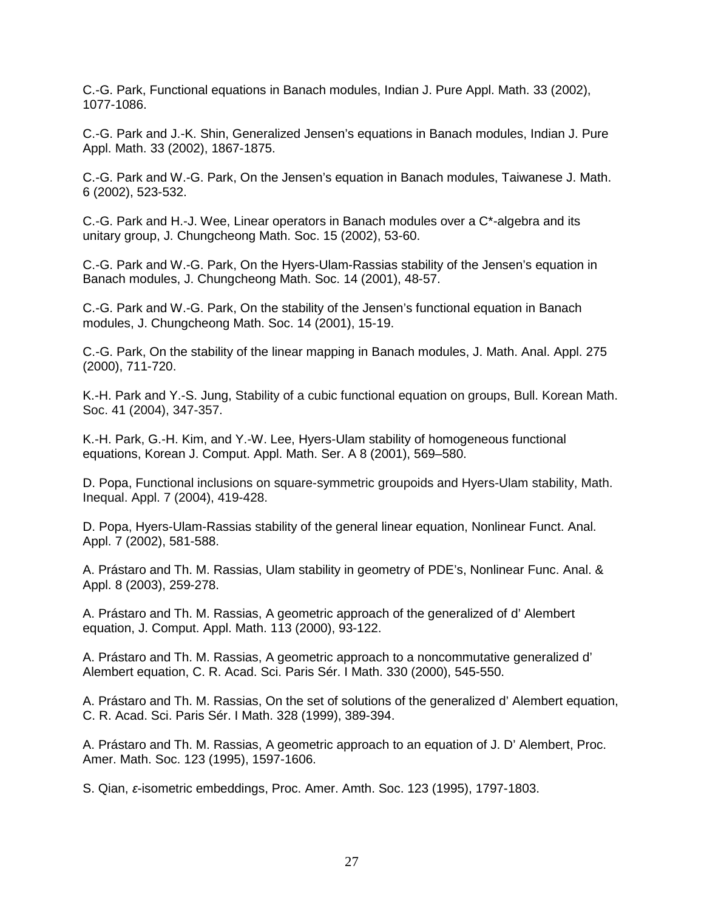C.-G. Park, Functional equations in Banach modules, Indian J. Pure Appl. Math. 33 (2002), 1077-1086.

C.-G. Park and J.-K. Shin, Generalized Jensen's equations in Banach modules, Indian J. Pure Appl. Math. 33 (2002), 1867-1875.

C.-G. Park and W.-G. Park, On the Jensen's equation in Banach modules, Taiwanese J. Math. 6 (2002), 523-532.

C.-G. Park and H.-J. Wee, Linear operators in Banach modules over a C\*-algebra and its unitary group, J. Chungcheong Math. Soc. 15 (2002), 53-60.

C.-G. Park and W.-G. Park, On the Hyers-Ulam-Rassias stability of the Jensen's equation in Banach modules, J. Chungcheong Math. Soc. 14 (2001), 48-57.

C.-G. Park and W.-G. Park, On the stability of the Jensen's functional equation in Banach modules, J. Chungcheong Math. Soc. 14 (2001), 15-19.

C.-G. Park, On the stability of the linear mapping in Banach modules, J. Math. Anal. Appl. 275 (2000), 711-720.

K.-H. Park and Y.-S. Jung, Stability of a cubic functional equation on groups, Bull. Korean Math. Soc. 41 (2004), 347-357.

K.-H. Park, G.-H. Kim, and Y.-W. Lee, Hyers-Ulam stability of homogeneous functional equations, Korean J. Comput. Appl. Math. Ser. A 8 (2001), 569–580.

D. Popa, Functional inclusions on square-symmetric groupoids and Hyers-Ulam stability, Math. Inequal. Appl. 7 (2004), 419-428.

D. Popa, Hyers-Ulam-Rassias stability of the general linear equation, Nonlinear Funct. Anal. Appl. 7 (2002), 581-588.

A. Prástaro and Th. M. Rassias, Ulam stability in geometry of PDE's, Nonlinear Func. Anal. & Appl. 8 (2003), 259-278.

A. Prástaro and Th. M. Rassias, A geometric approach of the generalized of d' Alembert equation, J. Comput. Appl. Math. 113 (2000), 93-122.

A. Prástaro and Th. M. Rassias, A geometric approach to a noncommutative generalized d' Alembert equation, C. R. Acad. Sci. Paris Sér. I Math. 330 (2000), 545-550.

A. Prástaro and Th. M. Rassias, On the set of solutions of the generalized d' Alembert equation, C. R. Acad. Sci. Paris Sér. I Math. 328 (1999), 389-394.

A. Prástaro and Th. M. Rassias, A geometric approach to an equation of J. D' Alembert, Proc. Amer. Math. Soc. 123 (1995), 1597-1606.

S. Qian, *ε*-isometric embeddings, Proc. Amer. Amth. Soc. 123 (1995), 1797-1803.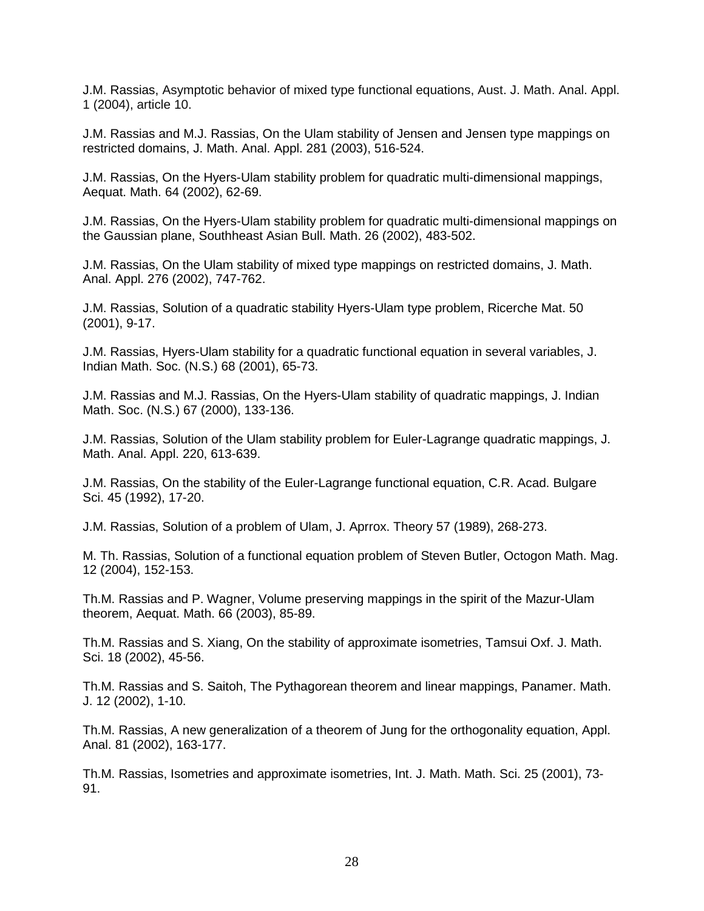J.M. Rassias, Asymptotic behavior of mixed type functional equations, Aust. J. Math. Anal. Appl. 1 (2004), article 10.

J.M. Rassias and M.J. Rassias, On the Ulam stability of Jensen and Jensen type mappings on restricted domains, J. Math. Anal. Appl. 281 (2003), 516-524.

J.M. Rassias, On the Hyers-Ulam stability problem for quadratic multi-dimensional mappings, Aequat. Math. 64 (2002), 62-69.

J.M. Rassias, On the Hyers-Ulam stability problem for quadratic multi-dimensional mappings on the Gaussian plane, Southheast Asian Bull. Math. 26 (2002), 483-502.

J.M. Rassias, On the Ulam stability of mixed type mappings on restricted domains, J. Math. Anal. Appl. 276 (2002), 747-762.

J.M. Rassias, Solution of a quadratic stability Hyers-Ulam type problem, Ricerche Mat. 50 (2001), 9-17.

J.M. Rassias, Hyers-Ulam stability for a quadratic functional equation in several variables, J. Indian Math. Soc. (N.S.) 68 (2001), 65-73.

J.M. Rassias and M.J. Rassias, On the Hyers-Ulam stability of quadratic mappings, J. Indian Math. Soc. (N.S.) 67 (2000), 133-136.

J.M. Rassias, Solution of the Ulam stability problem for Euler-Lagrange quadratic mappings, J. Math. Anal. Appl. 220, 613-639.

J.M. Rassias, On the stability of the Euler-Lagrange functional equation, C.R. Acad. Bulgare Sci. 45 (1992), 17-20.

J.M. Rassias, Solution of a problem of Ulam, J. Aprrox. Theory 57 (1989), 268-273.

M. Th. Rassias, Solution of a functional equation problem of Steven Butler, Octogon Math. Mag. 12 (2004), 152-153.

Th.M. Rassias and P. Wagner, Volume preserving mappings in the spirit of the Mazur-Ulam theorem, Aequat. Math. 66 (2003), 85-89.

Th.M. Rassias and S. Xiang, On the stability of approximate isometries, Tamsui Oxf. J. Math. Sci. 18 (2002), 45-56.

Th.M. Rassias and S. Saitoh, The Pythagorean theorem and linear mappings, Panamer. Math. J. 12 (2002), 1-10.

Th.M. Rassias, A new generalization of a theorem of Jung for the orthogonality equation, Appl. Anal. 81 (2002), 163-177.

Th.M. Rassias, Isometries and approximate isometries, Int. J. Math. Math. Sci. 25 (2001), 73- 91.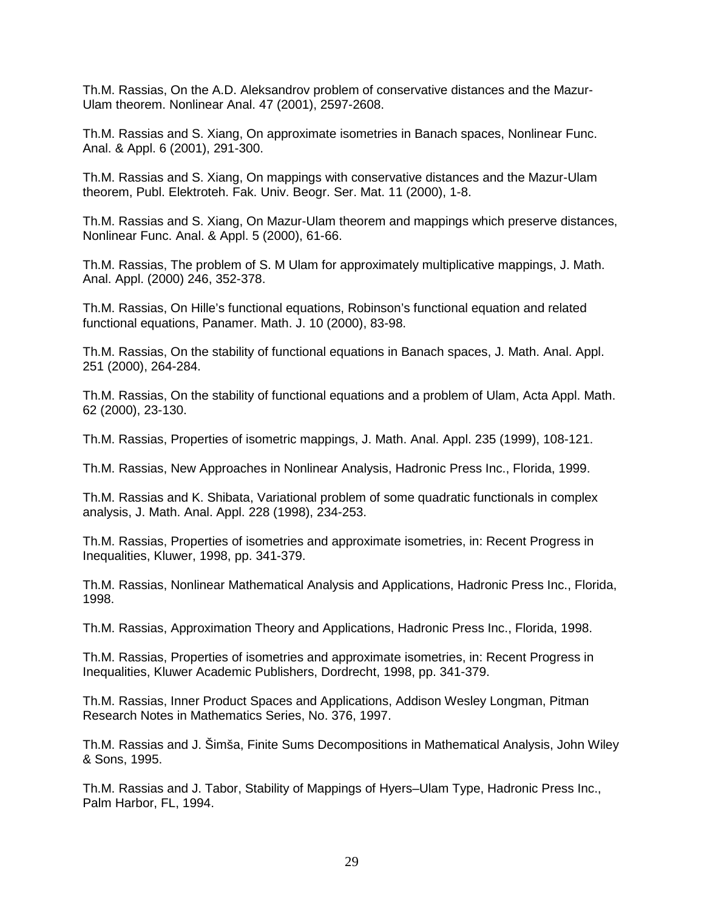Th.M. Rassias, On the A.D. Aleksandrov problem of conservative distances and the Mazur-Ulam theorem. Nonlinear Anal. 47 (2001), 2597-2608.

Th.M. Rassias and S. Xiang, On approximate isometries in Banach spaces, Nonlinear Func. Anal. & Appl. 6 (2001), 291-300.

Th.M. Rassias and S. Xiang, On mappings with conservative distances and the Mazur-Ulam theorem, Publ. Elektroteh. Fak. Univ. Beogr. Ser. Mat. 11 (2000), 1-8.

Th.M. Rassias and S. Xiang, On Mazur-Ulam theorem and mappings which preserve distances, Nonlinear Func. Anal. & Appl. 5 (2000), 61-66.

Th.M. Rassias, The problem of S. M Ulam for approximately multiplicative mappings, J. Math. Anal. Appl. (2000) 246, 352-378.

Th.M. Rassias, On Hille's functional equations, Robinson's functional equation and related functional equations, Panamer. Math. J. 10 (2000), 83-98.

Th.M. Rassias, On the stability of functional equations in Banach spaces, J. Math. Anal. Appl. 251 (2000), 264-284.

Th.M. Rassias, On the stability of functional equations and a problem of Ulam, Acta Appl. Math. 62 (2000), 23-130.

Th.M. Rassias, Properties of isometric mappings, J. Math. Anal. Appl. 235 (1999), 108-121.

Th.M. Rassias, New Approaches in Nonlinear Analysis, Hadronic Press Inc., Florida, 1999.

Th.M. Rassias and K. Shibata, Variational problem of some quadratic functionals in complex analysis, J. Math. Anal. Appl. 228 (1998), 234-253.

Th.M. Rassias, Properties of isometries and approximate isometries, in: Recent Progress in Inequalities, Kluwer, 1998, pp. 341-379.

Th.M. Rassias, Nonlinear Mathematical Analysis and Applications, Hadronic Press Inc., Florida, 1998.

Th.M. Rassias, Approximation Theory and Applications, Hadronic Press Inc., Florida, 1998.

Th.M. Rassias, Properties of isometries and approximate isometries, in: Recent Progress in Inequalities, Kluwer Academic Publishers, Dordrecht, 1998, pp. 341-379.

Th.M. Rassias, Inner Product Spaces and Applications, Addison Wesley Longman, Pitman Research Notes in Mathematics Series, No. 376, 1997.

Th.M. Rassias and J. Šimša, Finite Sums Decompositions in Mathematical Analysis, John Wiley & Sons, 1995.

Th.M. Rassias and J. Tabor, Stability of Mappings of Hyers–Ulam Type, Hadronic Press Inc., Palm Harbor, FL, 1994.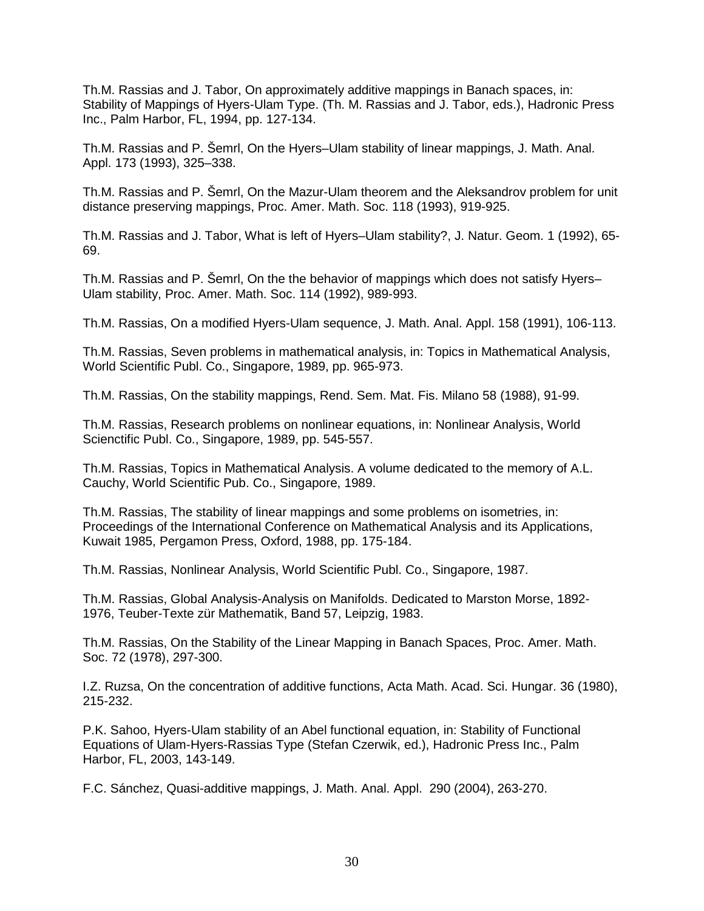Th.M. Rassias and J. Tabor, On approximately additive mappings in Banach spaces, in: Stability of Mappings of Hyers-Ulam Type. (Th. M. Rassias and J. Tabor, eds.), Hadronic Press Inc., Palm Harbor, FL, 1994, pp. 127-134.

Th.M. Rassias and P. Šemrl, On the Hyers–Ulam stability of linear mappings, J. Math. Anal. Appl. 173 (1993), 325–338.

Th.M. Rassias and P. Šemrl, On the Mazur-Ulam theorem and the Aleksandrov problem for unit distance preserving mappings, Proc. Amer. Math. Soc. 118 (1993), 919-925.

Th.M. Rassias and J. Tabor, What is left of Hyers–Ulam stability?, J. Natur. Geom. 1 (1992), 65- 69.

Th.M. Rassias and P. Šemrl, On the the behavior of mappings which does not satisfy Hyers– Ulam stability, Proc. Amer. Math. Soc. 114 (1992), 989-993.

Th.M. Rassias, On a modified Hyers-Ulam sequence, J. Math. Anal. Appl. 158 (1991), 106-113.

Th.M. Rassias, Seven problems in mathematical analysis, in: Topics in Mathematical Analysis, World Scientific Publ. Co., Singapore, 1989, pp. 965-973.

Th.M. Rassias, On the stability mappings, Rend. Sem. Mat. Fis. Milano 58 (1988), 91-99.

Th.M. Rassias, Research problems on nonlinear equations, in: Nonlinear Analysis, World Scienctific Publ. Co., Singapore, 1989, pp. 545-557.

Th.M. Rassias, Topics in Mathematical Analysis. A volume dedicated to the memory of A.L. Cauchy, World Scientific Pub. Co., Singapore, 1989.

Th.M. Rassias, The stability of linear mappings and some problems on isometries, in: Proceedings of the International Conference on Mathematical Analysis and its Applications, Kuwait 1985, Pergamon Press, Oxford, 1988, pp. 175-184.

Th.M. Rassias, Nonlinear Analysis, World Scientific Publ. Co., Singapore, 1987.

Th.M. Rassias, Global Analysis-Analysis on Manifolds. Dedicated to Marston Morse, 1892- 1976, Teuber-Texte zür Mathematik, Band 57, Leipzig, 1983.

Th.M. Rassias, On the Stability of the Linear Mapping in Banach Spaces, Proc. Amer. Math. Soc. 72 (1978), 297-300.

I.Z. Ruzsa, On the concentration of additive functions, Acta Math. Acad. Sci. Hungar. 36 (1980), 215-232.

P.K. Sahoo, Hyers-Ulam stability of an Abel functional equation, in: Stability of Functional Equations of Ulam-Hyers-Rassias Type (Stefan Czerwik, ed.), Hadronic Press Inc., Palm Harbor, FL, 2003, 143-149.

F.C. Sánchez, Quasi-additive mappings, J. Math. Anal. Appl. 290 (2004), 263-270.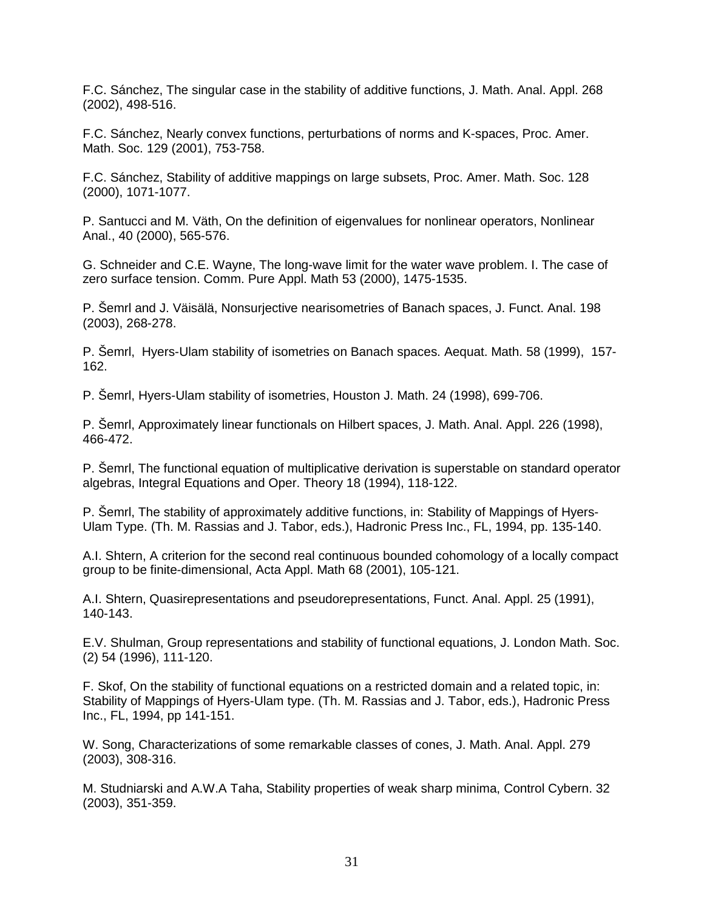F.C. Sánchez, The singular case in the stability of additive functions, J. Math. Anal. Appl. 268 (2002), 498-516.

F.C. Sánchez, Nearly convex functions, perturbations of norms and K-spaces, Proc. Amer. Math. Soc. 129 (2001), 753-758.

F.C. Sánchez, Stability of additive mappings on large subsets, Proc. Amer. Math. Soc. 128 (2000), 1071-1077.

P. Santucci and M. Väth, On the definition of eigenvalues for nonlinear operators, Nonlinear Anal., 40 (2000), 565-576.

G. Schneider and C.E. Wayne, The long-wave limit for the water wave problem. I. The case of zero surface tension. Comm. Pure Appl. Math 53 (2000), 1475-1535.

P. Šemrl and J. Väisälä, Nonsurjective nearisometries of Banach spaces, J. Funct. Anal. 198 (2003), 268-278.

P. Šemrl, Hyers-Ulam stability of isometries on Banach spaces. Aequat. Math. 58 (1999), 157- 162.

P. Šemrl, Hyers-Ulam stability of isometries, Houston J. Math. 24 (1998), 699-706.

P. Šemrl, Approximately linear functionals on Hilbert spaces, J. Math. Anal. Appl. 226 (1998), 466-472.

P. Šemrl, The functional equation of multiplicative derivation is superstable on standard operator algebras, Integral Equations and Oper. Theory 18 (1994), 118-122.

P. Šemrl, The stability of approximately additive functions, in: Stability of Mappings of Hyers-Ulam Type. (Th. M. Rassias and J. Tabor, eds.), Hadronic Press Inc., FL, 1994, pp. 135-140.

A.I. Shtern, A criterion for the second real continuous bounded cohomology of a locally compact group to be finite-dimensional, Acta Appl. Math 68 (2001), 105-121.

A.I. Shtern, Quasirepresentations and pseudorepresentations, Funct. Anal. Appl. 25 (1991), 140-143.

E.V. Shulman, Group representations and stability of functional equations, J. London Math. Soc. (2) 54 (1996), 111-120.

F. Skof, On the stability of functional equations on a restricted domain and a related topic, in: Stability of Mappings of Hyers-Ulam type. (Th. M. Rassias and J. Tabor, eds.), Hadronic Press Inc., FL, 1994, pp 141-151.

W. Song, Characterizations of some remarkable classes of cones, J. Math. Anal. Appl. 279 (2003), 308-316.

M. Studniarski and A.W.A Taha, Stability properties of weak sharp minima, Control Cybern. 32 (2003), 351-359.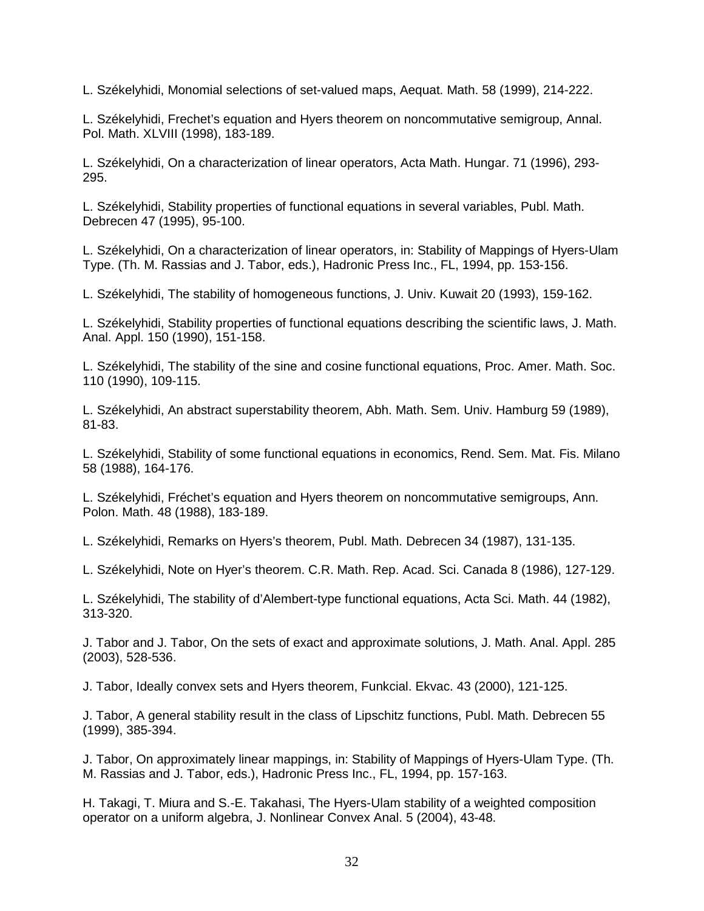L. Székelyhidi, Monomial selections of set-valued maps, Aequat. Math. 58 (1999), 214-222.

L. Székelyhidi, Frechet's equation and Hyers theorem on noncommutative semigroup, Annal. Pol. Math. XLVIII (1998), 183-189.

L. Székelyhidi, On a characterization of linear operators, Acta Math. Hungar. 71 (1996), 293- 295.

L. Székelyhidi, Stability properties of functional equations in several variables, Publ. Math. Debrecen 47 (1995), 95-100.

L. Székelyhidi, On a characterization of linear operators, in: Stability of Mappings of Hyers-Ulam Type. (Th. M. Rassias and J. Tabor, eds.), Hadronic Press Inc., FL, 1994, pp. 153-156.

L. Székelyhidi, The stability of homogeneous functions, J. Univ. Kuwait 20 (1993), 159-162.

L. Székelyhidi, Stability properties of functional equations describing the scientific laws, J. Math. Anal. Appl. 150 (1990), 151-158.

L. Székelyhidi, The stability of the sine and cosine functional equations, Proc. Amer. Math. Soc. 110 (1990), 109-115.

L. Székelyhidi, An abstract superstability theorem, Abh. Math. Sem. Univ. Hamburg 59 (1989), 81-83.

L. Székelyhidi, Stability of some functional equations in economics, Rend. Sem. Mat. Fis. Milano 58 (1988), 164-176.

L. Székelyhidi, Fréchet's equation and Hyers theorem on noncommutative semigroups, Ann. Polon. Math. 48 (1988), 183-189.

L. Székelyhidi, Remarks on Hyers's theorem, Publ. Math. Debrecen 34 (1987), 131-135.

L. Székelyhidi, Note on Hyer's theorem. C.R. Math. Rep. Acad. Sci. Canada 8 (1986), 127-129.

L. Székelyhidi, The stability of d'Alembert-type functional equations, Acta Sci. Math. 44 (1982), 313-320.

J. Tabor and J. Tabor, On the sets of exact and approximate solutions, J. Math. Anal. Appl. 285 (2003), 528-536.

J. Tabor, Ideally convex sets and Hyers theorem, Funkcial. Ekvac. 43 (2000), 121-125.

J. Tabor, A general stability result in the class of Lipschitz functions, Publ. Math. Debrecen 55 (1999), 385-394.

J. Tabor, On approximately linear mappings, in: Stability of Mappings of Hyers-Ulam Type. (Th. M. Rassias and J. Tabor, eds.), Hadronic Press Inc., FL, 1994, pp. 157-163.

H. Takagi, T. Miura and S.-E. Takahasi, The Hyers-Ulam stability of a weighted composition operator on a uniform algebra, J. Nonlinear Convex Anal. 5 (2004), 43-48.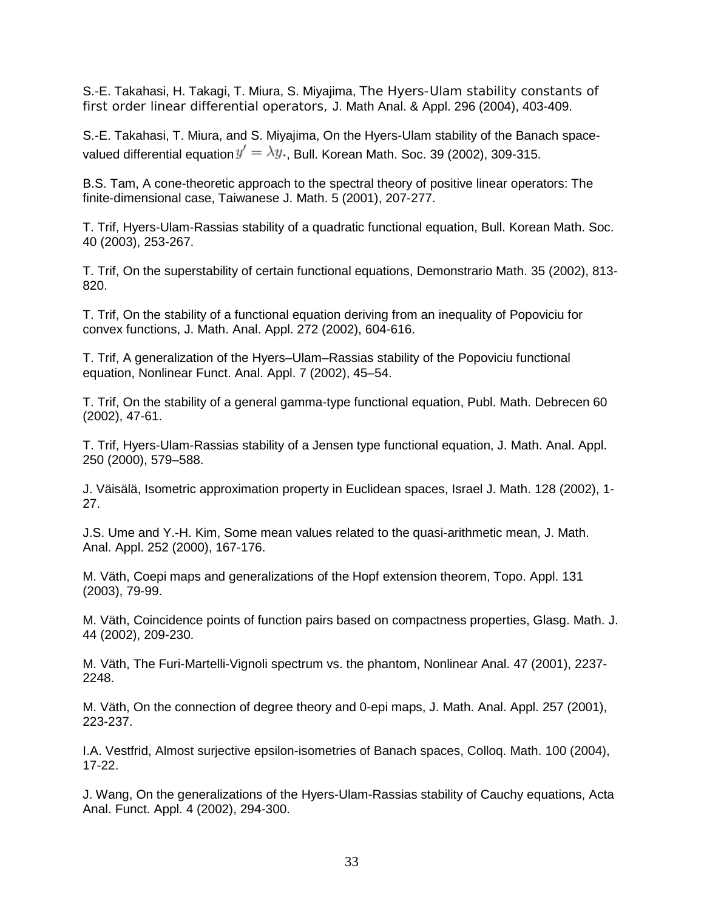S.-E. Takahasi, H. Takagi, T. Miura, S. Miyajima, The Hyers-Ulam stability constants of first order linear differential operators, J. Math Anal. & Appl. 296 (2004), 403-409.

S.-E. Takahasi, T. Miura, and S. Miyajima, On the Hyers-Ulam stability of the Banach spacevalued differential equation  $y' = \lambda y$ . Bull. Korean Math. Soc. 39 (2002), 309-315.

B.S. Tam, A cone-theoretic approach to the spectral theory of positive linear operators: The finite-dimensional case, Taiwanese J. Math. 5 (2001), 207-277.

T. Trif, Hyers-Ulam-Rassias stability of a quadratic functional equation, Bull. Korean Math. Soc. 40 (2003), 253-267.

T. Trif, On the superstability of certain functional equations, Demonstrario Math. 35 (2002), 813- 820.

T. Trif, On the stability of a functional equation deriving from an inequality of Popoviciu for convex functions, J. Math. Anal. Appl. 272 (2002), 604-616.

T. Trif, A generalization of the Hyers–Ulam–Rassias stability of the Popoviciu functional equation, Nonlinear Funct. Anal. Appl. 7 (2002), 45–54.

T. Trif, On the stability of a general gamma-type functional equation, Publ. Math. Debrecen 60 (2002), 47-61.

T. Trif, Hyers-Ulam-Rassias stability of a Jensen type functional equation, J. Math. Anal. Appl. 250 (2000), 579–588.

J. Väisälä, Isometric approximation property in Euclidean spaces, Israel J. Math. 128 (2002), 1- 27.

J.S. Ume and Y.-H. Kim, Some mean values related to the quasi-arithmetic mean, J. Math. Anal. Appl. 252 (2000), 167-176.

M. Väth, Coepi maps and generalizations of the Hopf extension theorem, Topo. Appl. 131 (2003), 79-99.

M. Väth, Coincidence points of function pairs based on compactness properties, Glasg. Math. J. 44 (2002), 209-230.

M. Väth, The Furi-Martelli-Vignoli spectrum vs. the phantom, Nonlinear Anal. 47 (2001), 2237- 2248.

M. Väth, On the connection of degree theory and 0-epi maps, J. Math. Anal. Appl. 257 (2001), 223-237.

I.A. Vestfrid, Almost surjective epsilon-isometries of Banach spaces, Colloq. Math. 100 (2004), 17-22.

J. Wang, On the generalizations of the Hyers-Ulam-Rassias stability of Cauchy equations, Acta Anal. Funct. Appl. 4 (2002), 294-300.